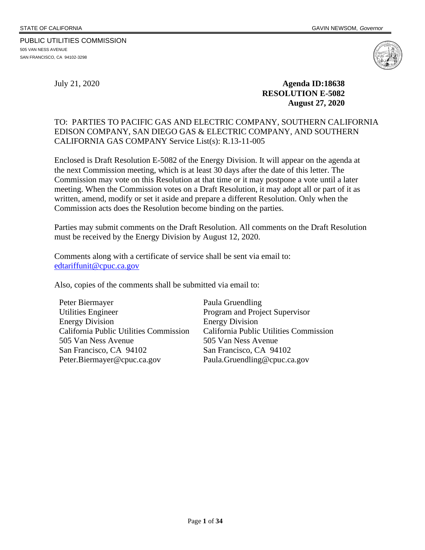505 VAN NESS AVENUE SAN FRANCISCO, CA 94102-3298

PUBLIC UTILITIES COMMISSION

July 21, 2020 **Agenda ID:18638 RESOLUTION E-5082 August 27, 2020**

#### TO: PARTIES TO PACIFIC GAS AND ELECTRIC COMPANY, SOUTHERN CALIFORNIA EDISON COMPANY, SAN DIEGO GAS & ELECTRIC COMPANY, AND SOUTHERN CALIFORNIA GAS COMPANY Service List(s): R.13-11-005

Enclosed is Draft Resolution E-5082 of the Energy Division. It will appear on the agenda at the next Commission meeting, which is at least 30 days after the date of this letter. The Commission may vote on this Resolution at that time or it may postpone a vote until a later meeting. When the Commission votes on a Draft Resolution, it may adopt all or part of it as written, amend, modify or set it aside and prepare a different Resolution. Only when the Commission acts does the Resolution become binding on the parties.

Parties may submit comments on the Draft Resolution. All comments on the Draft Resolution must be received by the Energy Division by August 12, 2020.

Comments along with a certificate of service shall be sent via email to: [edtariffunit@cpuc.ca.gov](mailto:edtariffunit@cpuc.ca.gov)

Also, copies of the comments shall be submitted via email to:

Peter Biermayer Utilities Engineer Energy Division California Public Utilities Commission 505 Van Ness Avenue San Francisco, CA 94102 Peter.Biermayer@cpuc.ca.gov

Paula Gruendling Program and Project Supervisor Energy Division California Public Utilities Commission 505 Van Ness Avenue San Francisco, CA 94102 Paula.Gruendling@cpuc.ca.gov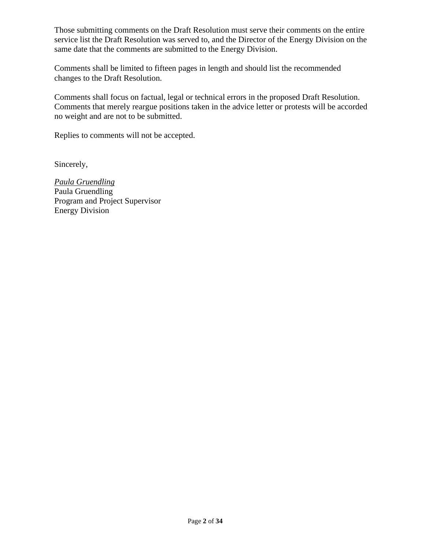Those submitting comments on the Draft Resolution must serve their comments on the entire service list the Draft Resolution was served to, and the Director of the Energy Division on the same date that the comments are submitted to the Energy Division.

Comments shall be limited to fifteen pages in length and should list the recommended changes to the Draft Resolution.

Comments shall focus on factual, legal or technical errors in the proposed Draft Resolution. Comments that merely reargue positions taken in the advice letter or protests will be accorded no weight and are not to be submitted.

Replies to comments will not be accepted.

Sincerely,

*Paula Gruendling* Paula Gruendling Program and Project Supervisor Energy Division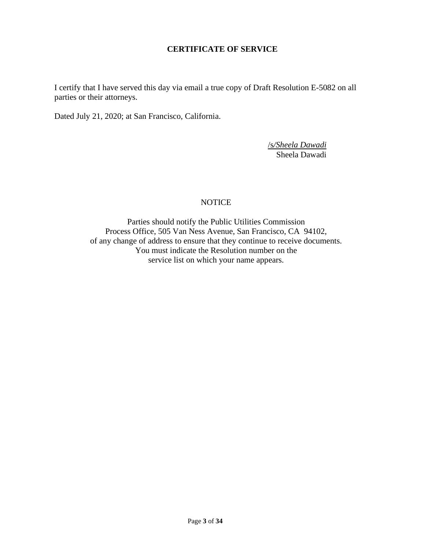### **CERTIFICATE OF SERVICE**

I certify that I have served this day via email a true copy of Draft Resolution E-5082 on all parties or their attorneys.

Dated July 21, 2020; at San Francisco, California.

/s*/Sheela Dawadi* Sheela Dawadi

### NOTICE

Parties should notify the Public Utilities Commission Process Office, 505 Van Ness Avenue, San Francisco, CA 94102, of any change of address to ensure that they continue to receive documents. You must indicate the Resolution number on the service list on which your name appears.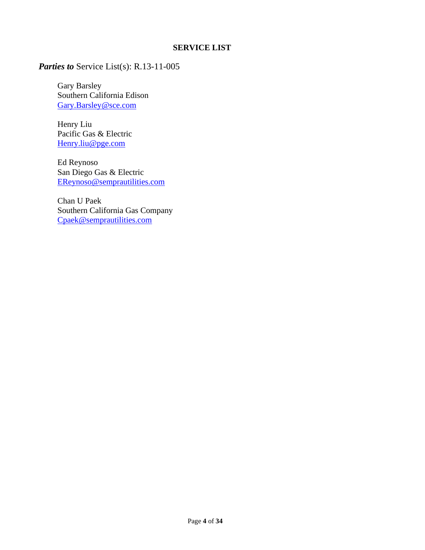## **SERVICE LIST**

## *Parties to* Service List(s): R.13-11-005

Gary Barsley Southern California Edison [Gary.Barsley@sce.com](mailto:Gary.Barsley@sce.com)

Henry Liu Pacific Gas & Electric [Henry.liu@pge.com](mailto:Henry.liu@pge.com)

Ed Reynoso San Diego Gas & Electric [EReynoso@semprautilities.com](mailto:EReynoso@semprautilities.com)

Chan U Paek Southern California Gas Company [Cpaek@semprautilities.com](mailto:Cpaek@semprautilities.com)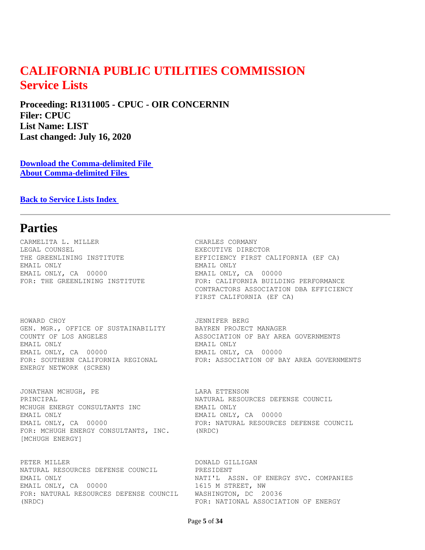# **CALIFORNIA PUBLIC UTILITIES COMMISSION Service Lists**

**Proceeding: R1311005 - CPUC - OIR CONCERNIN Filer: CPUC List Name: LIST Last changed: July 16, 2020** 

**[Download the Comma-delimited File](https://ia.cpuc.ca.gov/servicelists/R1311005_81279.csv)  [About Comma-delimited Files](https://ia.cpuc.ca.gov/servicelists/about_csv.htm)** 

**[Back to Service Lists Index](https://ia.cpuc.ca.gov/servicelists/sl_index.htm)** 

## **Parties**

CARMELITA L. MILLER **CARMELITA L. CHARLES CORMANY** LEGAL COUNSEL **EXECUTIVE DIRECTOR** EMAIL ONLY EMAIL ONLY EMAIL ONLY, CA 00000 EMAIL ONLY, CA 00000

HOWARD CHOY JENNIFER BERG GEN. MGR., OFFICE OF SUSTAINABILITY BAYREN PROJECT MANAGER<br>COUNTY OF LOS ANGELES ASSOCIATION OF BAY ARE. EMAIL ONLY EMAIL ONLY EMAIL ONLY, CA 00000 EMAIL ONLY, CA 00000 ENERGY NETWORK (SCREN)

JONATHAN MCHUGH, PE **LARA ETTENSON** PRINCIPAL NATURAL RESOURCES DEFENSE COUNCIL MCHUGH ENERGY CONSULTANTS INC **EMAIL ONLY** EMAIL ONLY **EMAIL ONLY, CA** 00000 FOR: MCHUGH ENERGY CONSULTANTS, INC. (NRDC) [MCHUGH ENERGY]

PETER MILLER **DONALD GILLIGAN** NATURAL RESOURCES DEFENSE COUNCIL PRESIDENT EMAIL ONLY NATI'L ASSN. OF ENERGY SVC. COMPANIES EMAIL ONLY, CA 00000 1615 M STREET, NW FOR: NATURAL RESOURCES DEFENSE COUNCIL WASHINGTON, DC 20036 (NRDC) FOR: NATIONAL ASSOCIATION OF ENERGY

THE GREENLINING INSTITUTE THE EFFICIENCY FIRST CALIFORNIA (EF CA) FOR: THE GREENLINING INSTITUTE FOR: CALIFORNIA BUILDING PERFORMANCE CONTRACTORS ASSOCIATION DBA EFFICIENCY FIRST CALIFORNIA (EF CA)

ASSOCIATION OF BAY AREA GOVERNMENTS FOR: SOUTHERN CALIFORNIA REGIONAL FOR: ASSOCIATION OF BAY AREA GOVERNMENTS

EMAIL ONLY, CA 00000 FOR: NATURAL RESOURCES DEFENSE COUNCIL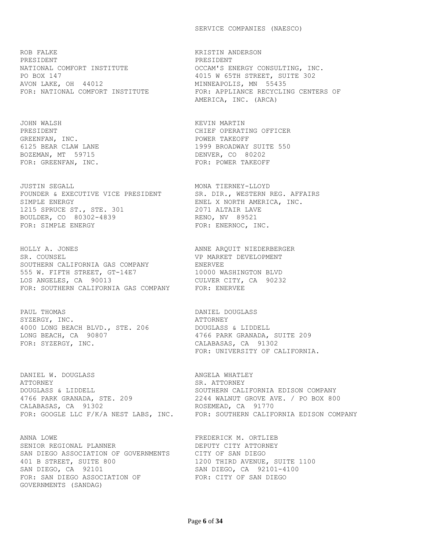#### SERVICE COMPANIES (NAESCO)

ROB FALKE KRISTIN ANDERSON PRESIDENT PRESIDENT PO BOX 147 4015 W 65TH STREET, SUITE 302 AVON LAKE, OH 44012 MINNEAPOLIS, MN 55435

JOHN WALSH KEVIN MARTIN GREENFAN, INC. THE SERVICE SERVICE SERVICE SERVICE SERVICE SERVICE SERVICE SERVICE SERVICE SERVICE SERVICE SERVICE SERVICE SERVICE SERVICE SERVICE SERVICE SERVICE SERVICE SERVICE SERVICE SERVICE SERVICE SERVICE SERVICE SER BOZEMAN, MT 59715 CONSER, CO 80202 FOR: GREENFAN, INC. THE SERVICE SERVICE REPORE THE STATE OF THE SERVICE SERVICE SERVICE SERVICE SERVICE SERVICE

JUSTIN SEGALL MONA TIERNEY-LLOYD FOUNDER & EXECUTIVE VICE PRESIDENT SR. DIR., WESTERN REG. AFFAIRS SIMPLE ENERGY **ENEL X NORTH AMERICA, INC.** 1215 SPRUCE ST., STE. 301 2071 ALTAIR LAVE BOULDER, CO 80302-4839 RENO, NV 89521 FOR: SIMPLE ENERGY FOR: ENERNOC, INC.

HOLLY A. JONES **ANNE ARQUIT NIEDERBERGER** SR. COUNSEL **Example 2018** VP MARKET DEVELOPMENT SOUTHERN CALIFORNIA GAS COMPANY FINERVEE 555 W. FIFTH STREET, GT-14E7 10000 WASHINGTON BLVD LOS ANGELES, CA 90013 CULVER CITY, CA 90232 FOR: SOUTHERN CALIFORNIA GAS COMPANY FOR: ENERVEE

PAUL THOMAS DANIEL DOUGLASS SYZERGY, INC. ATTORNEY 4000 LONG BEACH BLVD., STE. 206 DOUGLASS & LIDDELL LONG BEACH, CA 90807 4766 PARK GRANADA, SUITE 209 FOR: SYZERGY, INC. THE CALABASAS, CA 91302

DANIEL W. DOUGLASS **ANGELA WHATLEY** ATTORNEY SR. ATTORNEY DOUGLASS & LIDDELL SOUTHERN CALIFORNIA EDISON COMPANY 4766 PARK GRANADA, STE. 209 2244 WALNUT GROVE AVE. / PO BOX 800 CALABASAS, CA 91302 ROSEMEAD, CA 91770

ANNA LOWE SENIOR REGIONAL PLANNER SENIOR REGIONAL PLANNER SENIOR OF DEPUTY CITY ATTORNEY SENIOR REGIONAL PLANNER DEPUTY CITY ATTORNEY SAN DIEGO ASSOCIATION OF GOVERNMENTS CITY OF SAN DIEGO 401 B STREET, SUITE 800 1200 THIRD AVENUE, SUITE 1100 SAN DIEGO, CA 92101 SAN DIEGO, CA 92101-4100 FOR: SAN DIEGO ASSOCIATION OF FOR: CITY OF SAN DIEGO GOVERNMENTS (SANDAG)

NATIONAL COMFORT INSTITUTE **EXECUTE** OCCAM'S ENERGY CONSULTING, INC. FOR: NATIONAL COMFORT INSTITUTE FOR: APPLIANCE RECYCLING CENTERS OF AMERICA, INC. (ARCA)

PRESIDENT CHIEF OPERATING OFFICER 6125 BEAR CLAW LANE 1999 BROADWAY SUITE 550

FOR: UNIVERSITY OF CALIFORNIA.

FOR: GOOGLE LLC F/K/A NEST LABS, INC. FOR: SOUTHERN CALIFORNIA EDISON COMPANY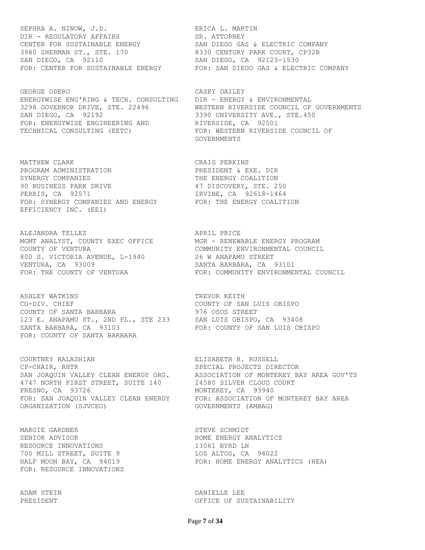SEPHRA A. NINOW, J.D. SEPHRA L. MARTIN DIR - REGULATORY AFFAIRS SR. ATTORNEY CENTER FOR SUSTAINABLE ENERGY SAN DIEGO GAS & ELECTRIC COMPANY 3980 SHERMAN ST., STE. 170 8330 CENTURY PARK COURT, CP32B SAN DIEGO, CA 92110 SAN DIEGO, CA 92123-1530

GEORGE ODERO CASEY DAILEY ENERGYWISE ENG'RING & TECH. CONSULTING DIR - ENERGY & ENVIRONMENTAL SAN DIEGO, CA 92192 3390 UNIVERSITY AVE., STE.450 FOR: ENERGYWISE ENGINEERING AND **RIVERSIDE, CA** 92501 TECHNICAL CONSULTING (EETC) FOR: WESTERN RIVERSIDE COUNCIL OF

MATTHEW CLARK **CRAIG PERKINS** PROGRAM ADMINISTRATION PRESIDENT & EXE. DIR SYNERGY COMPANIES THE ENERGY COALITION 90 BUSINESS PARK DRIVE 1999 1999 47 DISCOVERY, STE. 250 PERRIS, CA 92571 **IRVINE, CA 92618-1464** FOR: SYNERGY COMPANIES AND ENERGY FOR: THE ENERGY COALITION EFFICIENCY INC. (EEI)

ALEJANDRA TELLEZ **APRIL PRICE** MGMT ANALYST, COUNTY EXEC OFFICE MGR - RENEWABLE ENERGY PROGRAM COUNTY OF VENTURA COMMUNITY ENVIRONMENTAL COUNCIL 800 S. VICTORIA AVENUE, L-1940 26 W ANAPAMU STREET VENTURA, CA 93009 SANTA BARBARA, CA 93101 FOR: THE COUNTY OF VENTURA FOR: COMMUNITY ENVIRONMENTAL COUNCIL

ASHLEY WATKINS TREVOR KEITH CO-DIV. CHIEF COUNTY OF SAN LUIS OBISPO COUNTY OF SANTA BARBARA 976 OSOS STREET 123 E. ANAPAMU ST., 2ND FL., STE 233 SAN LUIS OBISPO, CA 93408 SANTA BARBARA, CA 93103 FOR: COUNTY OF SAN LUIS OBISPO FOR: COUNTY OF SANTA BARBARA

COURTNEY KALASHIAN ELISABETH B. RUSSELL CP-CHAIR, RHTR SPECIAL PROJECTS DIRECTOR 4747 NORTH FIRST STREET, SUITE 140 24580 SILVER CLOUD COURT FRESNO, CA 93726 MONTEREY, CA 93940 ORGANIZATION (SJVCEO) GOVERNMENTS (AMBAG)

MARGIE GARDNER STEVE SCHMIDT SENIOR ADVISOR **HOME ENERGY ANALYTICS** RESOURCE INNOVATIONS 13061 BYRD LN 700 MILL STREET, SUITE 9 LOS ALTOS, CA 94022 FOR: RESOURCE INNOVATIONS

FOR: CENTER FOR SUSTAINABLE ENERGY FOR: SAN DIEGO GAS & ELECTRIC COMPANY

3298 GOVERNOR DRIVE, STE. 22496 WESTERN RIVERSIDE COUNCIL OF GOVERNMENTS GOVERNMENTS

SAN JOAQUIN VALLEY CLEAN ENERGY ORG. ASSOCIATION OF MONTEREY BAY AREA GOV'TS FOR: SAN JOAQUIN VALLEY CLEAN ENERGY FOR: ASSOCIATION OF MONTEREY BAY AREA

HALF MOON BAY, CA 94019 FOR: HOME ENERGY ANALYTICS (HEA)

ADAM STEIN DANIELLE LEE PRESIDENT THE SERIES OF SUSTAINABILITY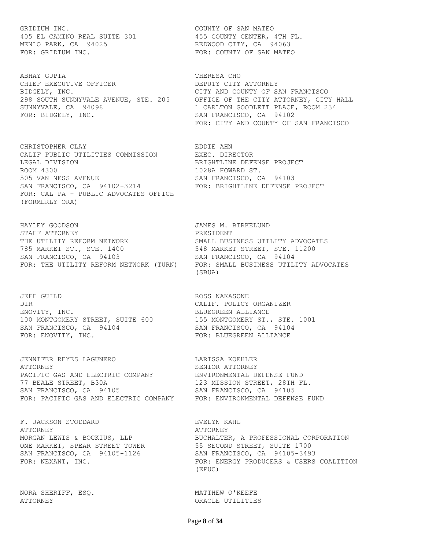GRIDIUM INC. THE COUNTY OF SAN MATEO 405 EL CAMINO REAL SUITE 301 455 COUNTY CENTER, 4TH FL. MENLO PARK, CA 94025 REDWOOD CITY, CA 94063 FOR: GRIDIUM INC. THE SERVICE SERVICE SOUNTY OF SAN MATEO

ABHAY GUPTA **THERESA** CHO CHIEF EXECUTIVE OFFICER DERUTY CITY ATTORNEY BIDGELY, INC. CITY AND COUNTY OF SAN FRANCISCO SUNNYVALE, CA 94098 1 CARLTON GOODLETT PLACE, ROOM 234 FOR: BIDGELY, INC. SAN FRANCISCO, CA 94102

CHRISTOPHER CLAY EDDIE AHN CALIF PUBLIC UTILITIES COMMISSION EXEC. DIRECTOR LEGAL DIVISION BRIGHTLINE DEFENSE PROJECT ROOM 4300 1028A HOWARD ST. 505 VAN NESS AVENUE SAN FRANCISCO, CA 94103 SAN FRANCISCO, CA 94102-3214 FOR: BRIGHTLINE DEFENSE PROJECT FOR: CAL PA - PUBLIC ADVOCATES OFFICE (FORMERLY ORA)

HAYLEY GOODSON JAMES M. BIRKELUND STAFF ATTORNEY **Example 20 FOR A SET A** PRESIDENT THE UTILITY REFORM NETWORK SMALL BUSINESS UTILITY ADVOCATES 785 MARKET ST., STE. 1400 548 MARKET STREET, STE. 11200 SAN FRANCISCO, CA 94103 SAN FRANCISCO, CA 94104 FOR: THE UTILITY REFORM NETWORK (TURN) FOR: SMALL BUSINESS UTILITY ADVOCATES

JEFF GUILD SALL SERVICES ON THE ROSS NAKASONE DIR CALIF. POLICY ORGANIZER ENOVITY, INC. **BLUEGREEN ALLIANCE** 100 MONTGOMERY STREET, SUITE 600 155 MONTGOMERY ST., STE. 1001 SAN FRANCISCO, CA 94104 SAN FRANCISCO, CA 94104 FOR: ENOVITY, INC. THE SERVICE RESERCT FOR: BLUEGREEN ALLIANCE

JENNIFER REYES LAGUNERO LARISSA KOEHLER ATTORNEY SENIOR ATTORNEY PACIFIC GAS AND ELECTRIC COMPANY ENVIRONMENTAL DEFENSE FUND 77 BEALE STREET, B30A 123 MISSION STREET, 28TH FL. SAN FRANCISCO, CA 94105 SAN FRANCISCO, CA 94105 FOR: PACIFIC GAS AND ELECTRIC COMPANY FOR: ENVIRONMENTAL DEFENSE FUND

F. JACKSON STODDARD **EVELYN** KAHL ATTORNEY THE SERVICE OF THE SERVICE OF A SERVICE OF A SERVICE OF A SERVICE OF A SERVICE OF A SERVICE OF A SERVICE OF A SERVICE OF A SERVICE OF A SERVICE OF A SERVICE OF A SERVICE OF A SERVICE OF A SERVICE OF A SERVICE OF A ONE MARKET, SPEAR STREET TOWER 55 SECOND STREET, SUITE 1700

NORA SHERIFF, ESQ. THE SECOND MATTHEW O'KEEFE ATTORNEY ORACLE UTILITIES

298 SOUTH SUNNYVALE AVENUE, STE. 205 OFFICE OF THE CITY ATTORNEY, CITY HALL FOR: CITY AND COUNTY OF SAN FRANCISCO

(SBUA)

MORGAN LEWIS & BOCKIUS, LLP BUCHALTER, A PROFESSIONAL CORPORATION SAN FRANCISCO, CA 94105-1126 SAN FRANCISCO, CA 94105-3493 FOR: NEXANT, INC. THE REAGE REAGNER FOR: ENERGY PRODUCERS & USERS COALITION (EPUC)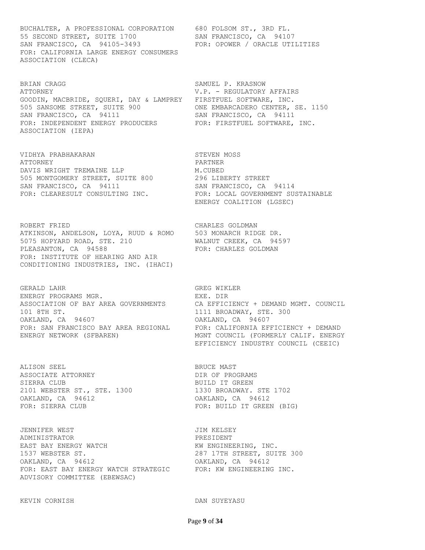BUCHALTER, A PROFESSIONAL CORPORATION 680 FOLSOM ST., 3RD FL. 55 SECOND STREET, SUITE 1700 SAN FRANCISCO, CA 94107 SAN FRANCISCO, CA 94105-3493 FOR: OPOWER / ORACLE UTILITIES FOR: CALIFORNIA LARGE ENERGY CONSUMERS ASSOCIATION (CLECA)

BRIAN CRAGG SAMUEL P. KRASNOW ATTORNEY V.P. - REGULATORY AFFAIRS GOODIN, MACBRIDE, SQUERI, DAY & LAMPREY FIRSTFUEL SOFTWARE, INC. 505 SANSOME STREET, SUITE 900 ONE EMBARCADERO CENTER, SE. 1150 SAN FRANCISCO, CA 94111 SAN FRANCISCO, CA 94111 FOR: INDEPENDENT ENERGY PRODUCERS FOR: FIRSTFUEL SOFTWARE, INC. ASSOCIATION (IEPA)

VIDHYA PRABHAKARAN STEVEN MOSS ATTORNEY PARTNER DAVIS WRIGHT TREMAINE LLP M.CUBED 505 MONTGOMERY STREET, SUITE 800 296 LIBERTY STREET SAN FRANCISCO, CA 94111 SAN FRANCISCO, CA 94114

ROBERT FRIED CHARLES GOLDMAN ATKINSON, ANDELSON, LOYA, RUUD & ROMO 503 MONARCH RIDGE DR. 5075 HOPYARD ROAD, STE. 210 WALNUT CREEK, CA 94597 PLEASANTON, CA 94588 FOR: CHARLES GOLDMAN FOR: INSTITUTE OF HEARING AND AIR CONDITIONING INDUSTRIES, INC. (IHACI)

GERALD LAHR GERALD GREG WIKLER ENERGY PROGRAMS MGR. THE SEXE REAL PROGRAMS OF SALL PART AND REAL PART OF STRING STRING 101 8TH ST. 1111 BROADWAY, STE. 300 OAKLAND, CA 94607 OAKLAND, CA 94607

ALISON SEEL SEER ALISON SEEL SEER ALISON SEER ALISON SEER ALISON DE BRUCE MAST ASSOCIATE ATTORNEY **Example 2018** DIR OF PROGRAMS SIERRA CLUB **BUILD IT GREEN** 2101 WEBSTER ST., STE. 1300 1330 BROADWAY. STE 1702 OAKLAND, CA 94612 OAKLAND, CA 94612 FOR: SIERRA CLUB FOR: BUILD IT GREEN (BIG)

JENNIFER WEST JIM KELSEY ADMINISTRATOR PRESIDENT EAST BAY ENERGY WATCH THE RESOLUTION AND RENGINEERING, INC. 1537 WEBSTER ST. 287 17TH STREET, SUITE 300 OAKLAND, CA 94612 OAKLAND, CA 94612 FOR: EAST BAY ENERGY WATCH STRATEGIC FOR: KW ENGINEERING INC. ADVISORY COMMITTEE (EBEWSAC)

KEVIN CORNISH DAN SUYEYASU

FOR: CLEARESULT CONSULTING INC. TOR: LOCAL GOVERNMENT SUSTAINABLE ENERGY COALITION (LGSEC)

ASSOCIATION OF BAY AREA GOVERNMENTS CA EFFICIENCY + DEMAND MGMT. COUNCIL FOR: SAN FRANCISCO BAY AREA REGIONAL FOR: CALIFORNIA EFFICIENCY + DEMAND ENERGY NETWORK (SFBAREN) MGNT COUNCIL (FORMERLY CALIF. ENERGY EFFICIENCY INDUSTRY COUNCIL (CEEIC)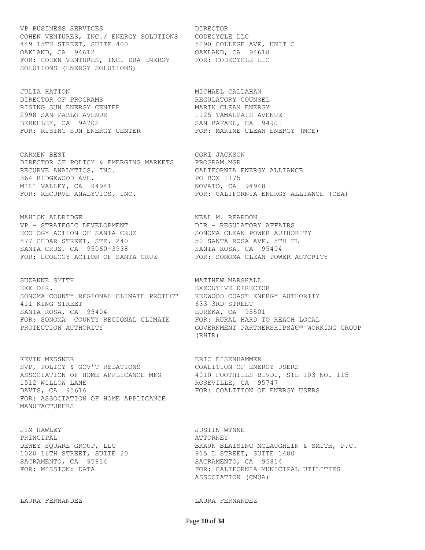VP BUSINESS SERVICES **Example 19 Service** DIRECTOR COHEN VENTURES, INC./ ENERGY SOLUTIONS CODECYCLE LLC 449 15TH STREET, SUITE 400 5290 COLLEGE AVE, UNIT C OAKLAND, CA 94612 OAKLAND, CA 94618 FOR: COHEN VENTURES, INC. DBA ENERGY FOR: CODECYCLE LLC SOLUTIONS (ENERGY SOLUTIONS)

JULIA HATTON MICHAEL CALLAHAN DIRECTOR OF PROGRAMS **EXECUTATORY COUNSEL** RISING SUN ENERGY CENTER **MARIN CLEAN ENERGY** 2998 SAN PABLO AVENUE 1125 TAMALPAIS AVENUE BERKELEY, CA 94702 SAN RAFAEL, CA 94901

CARMEN BEST CORI JACKSON DIRECTOR OF POLICY & EMERGING MARKETS PROGRAM MGR RECURVE ANALYTICS, INC. CALIFORNIA ENERGY ALLIANCE 364 RIDGEWOOD AVE. PO BOX 1175 MILL VALLEY, CA 94941 NOVATO, CA 94948 FOR: RECURVE ANALYTICS, INC. FOR: CALIFORNIA ENERGY ALLIANCE (CEA)

MAHLON ALDRIDGE NEAL MEAL M. REARDON VP - STRATEGIC DEVELOPMENT DIR - REGULATORY AFFAIRS ECOLOGY ACTION OF SANTA CRUZ SONOMA CLEAN POWER AUTHORITY 877 CEDAR STREET, STE. 240 50 SANTA ROSA AVE. 5TH FL SANTA CRUZ, CA 95060-3938 SANTA ROSA, CA 95404 FOR: ECOLOGY ACTION OF SANTA CRUZ FOR: SONOMA CLEAN POWER AUTORITY

SUZANNE SMITH **MATTHEW MARSHALL** EXE DIR. EXECUTIVE DIRECTOR SONOMA COUNTY REGIONAL CLIMATE PROTECT REDWOOD COAST ENERGY AUTHORITY 411 KING STREET SANTA ROSA, CA 95404 (633 3RD STREET SANTA ROSA, CA 955) SANTA ROSA, CA 95404 **EUREKA, CA 95501** FOR: SONOMA COUNTY REGIONAL CLIMATE FOR: RURAL HARD TO REACH LOCAL

KEVIN MESSNER ERIC EISENHAMMER SVP, POLICY & GOV'T RELATIONS COALITION OF ENERGY USERS 1512 WILLOW LANE **ROSEVILLE, CA** 95747 DAVIS, CA 95616 FOR: COALITION OF ENERGY USERS FOR: ASSOCIATION OF HOME APPLICANCE MANUFACTURERS

JIM HAWLEY JUSTIN WYNNE PRINCIPAL **ATTORNEY** 1020 16TH STREET, SUITE 20 915 L STREET, SUITE 1480 SACRAMENTO, CA 95814 SACRAMENTO, CA 95814

FOR: RISING SUN ENERGY CENTER FOR: MARINE CLEAN ENERGY (MCE)

PROTECTION AUTHORITY  $\begin{array}{ccc} \text{GOVERNMENT} & \text{PARTNERSHIPS} \hat{\mathbf{a}} \in \mathbb{M} & \text{WORKING} \end{array}$ (RHTR)

ASSOCIATION OF HOME APPLICANCE MFG 4010 FOOTHILLS BLVD., STE 103 NO. 115

DEWEY SQUARE GROUP, LLC BRAUN BLAISING MCLAUGHLIN & SMITH, P.C. FOR: MISSION: DATA FOR: CALIFORNIA MUNICIPAL UTILITIES ASSOCIATION (CMUA)

LAURA FERNANDEZ LAURA FERNANDEZ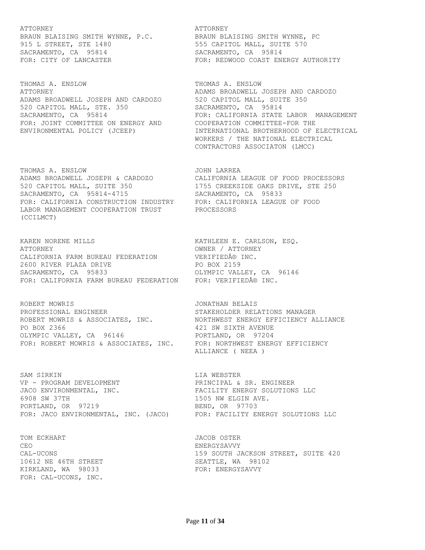#### ATTORNEY THE SERVICE OF THE SERVICE OF A SERVICE OF A SERVICE OF A SERVICE OF A SERVICE OF A SERVICE OF A SERVICE OF A SERVICE OF A SERVICE OF A SERVICE OF A SERVICE OF A SERVICE OF A SERVICE OF A SERVICE OF A SERVICE OF A

915 L STREET, STE 1480 6555 CAPITOL MALL, SUITE 570 SACRAMENTO, CA 95814 SACRAMENTO, CA 95814

THOMAS A. ENSLOW THOMAS A. ENSLOW ADAMS BROADWELL JOSEPH AND CARDOZO 520 CAPITOL MALL, SUITE 350 520 CAPITOL MALL, STE. 350 SACRAMENTO, CA 95814 FOR: JOINT COMMITTEE ON ENERGY AND COOPERATION COMMITTEE-FOR THE

THOMAS A. ENSLOW **Example 20 Service CONTAIN** JOHN LARREA ADAMS BROADWELL JOSEPH & CARDOZO CALIFORNIA LEAGUE OF FOOD PROCESSORS 520 CAPITOL MALL, SUITE 350 1755 CREEKSIDE OAKS DRIVE, STE 250 SACRAMENTO, CA 95814-4715 SACRAMENTO, CA 95833 FOR: CALIFORNIA CONSTRUCTION INDUSTRY FOR: CALIFORNIA LEAGUE OF FOOD LABOR MANAGEMENT COOPERATION TRUST PROCESSORS (CCILMCT)

KAREN NORENE MILLS **KATHLEEN E. CARLSON, ESQ.** ATTORNEY OWNER / ATTORNEY CALIFORNIA FARM BUREAU FEDERATION VERIFIED® INC. 2600 RIVER PLAZA DRIVE PO BOX 2159 SACRAMENTO, CA 95833 COLYMPIC VALLEY, CA 96146 FOR: CALIFORNIA FARM BUREAU FEDERATION FOR: VERIFIED® INC.

ROBERT MOWRIS JONATHAN BELAIS PROFESSIONAL ENGINEER STAKEHOLDER RELATIONS MANAGER ROBERT MOWRIS & ASSOCIATES, INC. MORTHWEST ENERGY EFFICIENCY ALLIANCE PO BOX 2366 421 SW SIXTH AVENUE OLYMPIC VALLEY, CA 96146 PORTLAND, OR 97204

SAM SIRKIN NEGROM SAM SIRKIN KALENDARYA KURA DI SAMUSIKAN NEGROM SAMA SERIKA KE SERIKA SERIKA SERIKA SERIKA SE VP - PROGRAM DEVELOPMENT PRINCIPAL & SR. ENGINEER JACO ENVIRONMENTAL, INC. THE REACILITY ENERGY SOLUTIONS LLC 6908 SW 37TH 1505 NW ELGIN AVE. PORTLAND, OR 97219 BEND, OR 97703

TOM ECKHART **GEET ALL SECOND STEAD OF STEAD ASSESSMENT** ON THE JACOB OSTER CEO ENERGYSAVVY 10612 NE 46TH STREET SEATTLE, WA 98102 KIRKLAND, WA 98033 FOR: ENERGYSAVVY FOR: CAL-UCONS, INC.

BRAUN BLAISING SMITH WYNNE, P.C. BRAUN BLAISING SMITH WYNNE, PC FOR: CITY OF LANCASTER **FOR: REDWOOD COAST ENERGY AUTHORITY** 

ATTORNEY ADAMS BROADWELL JOSEPH AND CARDOZO SACRAMENTO, CA 95814 **FOR: CALIFORNIA STATE LABOR MANAGEMENT** ENVIRONMENTAL POLICY (JCEEP) INTERNATIONAL BROTHERHOOD OF ELECTRICAL WORKERS / THE NATIONAL ELECTRICAL CONTRACTORS ASSOCIATON (LMCC)

FOR: ROBERT MOWRIS & ASSOCIATES, INC. FOR: NORTHWEST ENERGY EFFICIENCY ALLIANCE ( NEEA )

FOR: JACO ENVIRONMENTAL, INC. (JACO) FOR: FACILITY ENERGY SOLUTIONS LLC

CAL-UCONS 159 SOUTH JACKSON STREET, SUITE 420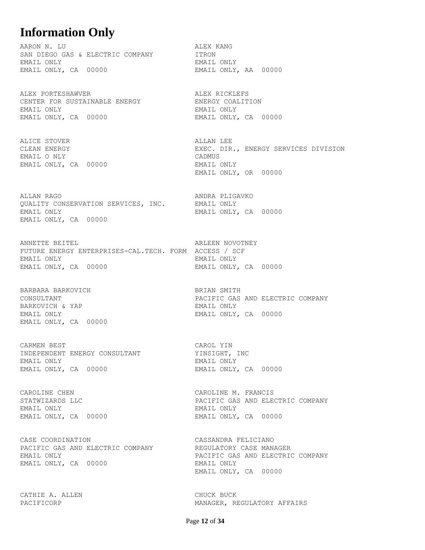## **Information Only**

AARON N. LU ALEX KANG SAN DIEGO GAS & ELECTRIC COMPANY **ITRON** EMAIL ONLY EMAIL ONLY EMAIL ONLY, CA 00000 EMAIL ONLY, AA 00000

ALEX PORTESHAWVER **ALEX RICKLEFS** CENTER FOR SUSTAINABLE ENERGY **ENERGY COALITION** EMAIL ONLY EMAIL ONLY EMAIL ONLY, CA 00000 EMAIL ONLY, CA 00000

ALICE STOVER ALLAN LEE EMAIL O NLY CADMUS EMAIL ONLY, CA 00000

ALLAN RAGO ANDRA PLIGAVKO QUALITY CONSERVATION SERVICES, INC. EMAIL ONLY EMAIL ONLY **EMAIL ONLY, CA** 00000 EMAIL ONLY, CA 00000

ANNETTE BEITEL **ARLEEN NOVOTNEY** FUTURE ENERGY ENTERPRISES-CAL.TECH. FORM ACCESS / SCF EMAIL ONLY EMAIL ONLY EMAIL ONLY, CA 00000 EMAIL ONLY, CA 00000

BARBARA BARKOVICH BRIAN SMITH BARKOVICH & YAP **EMAIL ONLY** EMAIL ONLY, CA 00000

CARMEN BEST CAROL YIN INDEPENDENT ENERGY CONSULTANT YINSIGHT, INC EMAIL ONLY EMAIL ONLY EMAIL ONLY, CA 00000 EMAIL ONLY, CA 00000

EMAIL ONLY EMAIL ONLY EMAIL ONLY, CA 00000 EMAIL ONLY, CA 00000

CASE COORDINATION CASSANDRA FELICIANO PACIFIC GAS AND ELECTRIC COMPANY REGULATORY CASE MANAGER EMAIL ONLY PACIFIC GAS AND ELECTRIC COMPANY EMAIL ONLY, CA 00000 EMAIL ONLY

CATHIE A. ALLEN **CATHIE A. ALLEN** 

CLEAN ENERGY EXEC. DIR., ENERGY SERVICES DIVISION EMAIL ONLY, OR 00000

CONSULTANT PACIFIC GAS AND ELECTRIC COMPANY EMAIL ONLY **EMAIL ONLY, CA** 00000

CAROLINE CHEN **CAROLINE M. FRANCIS** STATWIZARDS LLC PACIFIC GAS AND ELECTRIC COMPANY

EMAIL ONLY, CA 00000

PACIFICORP MANAGER, REGULATORY AFFAIRS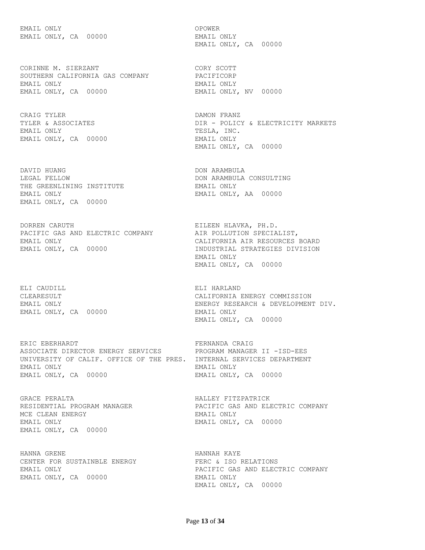EMAIL ONLY SERVICES OPOWER EMAIL ONLY, CA 00000 EMAIL ONLY

CORINNE M. SIERZANT CORY SCOTT SOUTHERN CALIFORNIA GAS COMPANY PACIFICORP EMAIL ONLY EMAIL ONLY EMAIL ONLY, CA 00000 EMAIL ONLY, NV 00000

CRAIG TYLER DAMON FRANZ EMAIL ONLY TESLA, INC. EMAIL ONLY, CA 00000 EMAIL ONLY

DAVID HUANG DON ARAMBULA LEGAL FELLOW DON ARAMBULA CONSULTING THE GREENLINING INSTITUTE THE GREENLINING INSTITUTE EMAIL ONLY EMAIL ONLY, AA 00000 EMAIL ONLY, CA 00000

DORREN CARUTH EILEEN HLAVKA, PH.D. PACIFIC GAS AND ELECTRIC COMPANY AIR POLLUTION SPECIALIST, EMAIL ONLY CALIFORNIA AIR RESOURCES BOARD EMAIL ONLY, CA 00000 INDUSTRIAL STRATEGIES DIVISION

ELI CAUDILL ELI HARLAND EMAIL ONLY, CA 00000 EMAIL ONLY

ERIC EBERHARDT **FERNANDA** CRAIG ASSOCIATE DIRECTOR ENERGY SERVICES PROGRAM MANAGER II -ISD-EES UNIVERSITY OF CALIF. OFFICE OF THE PRES. INTERNAL SERVICES DEPARTMENT EMAIL ONLY EMAIL ONLY EMAIL ONLY, CA 00000 EMAIL ONLY, CA 00000

GRACE PERALTA HALLEY FITZPATRICK MCE CLEAN ENERGY **EMAIL ONLY** EMAIL ONLY EMAIL ONLY, CA 00000 EMAIL ONLY, CA 00000

HANNA GRENE HANNAH KAYE CENTER FOR SUSTAINBLE ENERGY FERC & ISO RELATIONS EMAIL ONLY, CA 00000 EMAIL ONLY

EMAIL ONLY, CA 00000

TYLER & ASSOCIATES THE RESOLUTION OF REAL POLICY & ELECTRICITY MARKETS EMAIL ONLY, CA 00000

 EMAIL ONLY EMAIL ONLY, CA 00000

CLEARESULT CALIFORNIA ENERGY COMMISSION EMAIL ONLY ENERGY RESEARCH & DEVELOPMENT DIV. EMAIL ONLY, CA 00000

PACIFIC GAS AND ELECTRIC COMPANY

EMAIL ONLY PACIFIC GAS AND ELECTRIC COMPANY EMAIL ONLY, CA 00000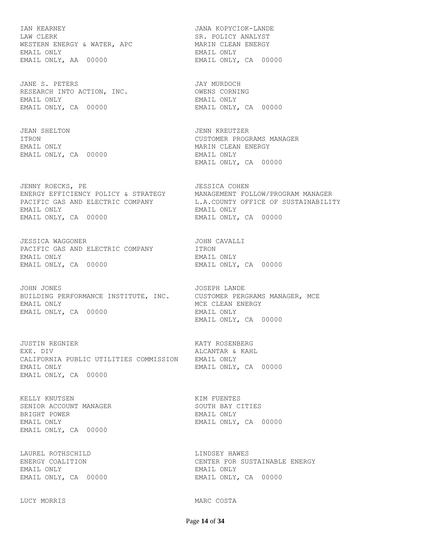IAN KEARNEY JANA KOPYCIOK-LANDE LAW CLERK SR. POLICY ANALYST WESTERN ENERGY & WATER, APC **MARIN CLEAN ENERGY** EMAIL ONLY EMAIL ONLY EMAIL ONLY, AA 00000 EMAIL ONLY, CA 00000

JANE S. PETERS JAY MURDOCH RESEARCH INTO ACTION, INC. OWENS CORNING EMAIL ONLY EMAIL ONLY EMAIL ONLY, CA 00000 EMAIL ONLY, CA 00000

JEAN SHELTON JENN KREUTZER EMAIL ONLY **EMAIL ONLY EMAIL ONLY** EMAIL ONLY, CA 00000 EMAIL ONLY

JENNY ROECKS, PE JESSICA COHEN ENERGY EFFICIENCY POLICY & STRATEGY MANAGEMENT FOLLOW/PROGRAM MANAGER EMAIL ONLY EMAIL ONLY EMAIL ONLY, CA 00000 EMAIL ONLY, CA 00000

JESSICA WAGGONER JOHN CAVALLI PACIFIC GAS AND ELECTRIC COMPANY **ITRON** EMAIL ONLY EMAIL ONLY EMAIL ONLY, CA 00000 EMAIL ONLY, CA 00000

JOHN JONES JOSEPH LANDE BUILDING PERFORMANCE INSTITUTE, INC. CUSTOMER PERGRAMS MANAGER, MCE EMAIL ONLY SERVICE CLEAN ENERGY EMAIL ONLY, CA 00000 EMAIL ONLY

JUSTIN REGNIER KATY ROSENBERG EXE. DIV ALCANTAR & KAHL CALIFORNIA PUBLIC UTILITIES COMMISSION EMAIL ONLY EMAIL ONLY **EMAIL ONLY, CA** 00000 EMAIL ONLY, CA 00000

KELLY KNUTSEN **KELLY KIM FUENTES** SENIOR ACCOUNT MANAGER SOUTH BAY CITIES BRIGHT POWER **EMAIL ONLY** EMAIL ONLY **EMAIL ONLY, CA** 00000 EMAIL ONLY, CA 00000

LAUREL ROTHSCHILD **LINDSEY HAWES** EMAIL ONLY EMAIL ONLY

LUCY MORRIS MARC COSTA

ITRON CUSTOMER PROGRAMS MANAGER EMAIL ONLY, CA 00000

PACIFIC GAS AND ELECTRIC COMPANY L.A.COUNTY OFFICE OF SUSTAINABILITY

EMAIL ONLY, CA 00000

ENERGY COALITION CENTER FOR SUSTAINABLE ENERGY EMAIL ONLY, CA 00000 EMAIL ONLY, CA 00000

Page **14** of **34**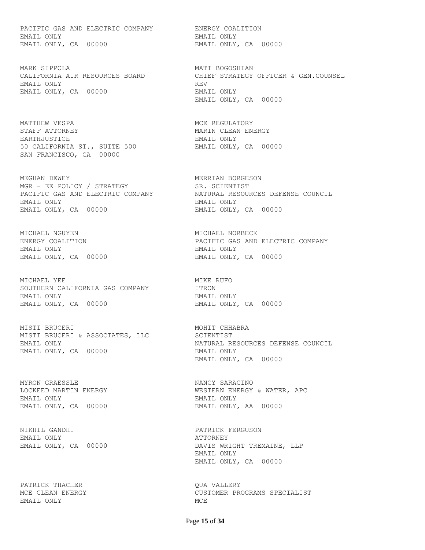PACIFIC GAS AND ELECTRIC COMPANY ENERGY COALITION EMAIL ONLY EMAIL ONLY EMAIL ONLY, CA 00000 EMAIL ONLY, CA 00000

MARK SIPPOLA 1999 MARK MATT BOGOSHIAN EMAIL ONLY REV EMAIL ONLY, CA 00000 EMAIL ONLY

MATTHEW VESPA MCC REGULATORY STAFF ATTORNEY **MARIN CLEAN ENERGY** EARTHJUSTICE EMAIL ONLY 50 CALIFORNIA ST., SUITE 500 SAN FRANCISCO, CA 00000

MEGHAN DEWEY **MERRIAN BORGESON** MGR - EE POLICY / STRATEGY SR. SCIENTIST EMAIL ONLY EMAIL ONLY EMAIL ONLY, CA 00000 EMAIL ONLY, CA 00000

MICHAEL NGUYEN MICHAEL NORBECK EMAIL ONLY EMAIL ONLY

MICHAEL YEE **MIKE RUFO** SOUTHERN CALIFORNIA GAS COMPANY **ITRON** EMAIL ONLY EMAIL ONLY EMAIL ONLY, CA 00000 EMAIL ONLY, CA 00000

MISTI BRUCERI MOHIT CHHABRA MISTI BRUCERI & ASSOCIATES, LLC SCIENTIST EMAIL ONLY, CA 00000 EMAIL ONLY

MYRON GRAESSLE NANCY SARACINO EMAIL ONLY EMAIL ONLY EMAIL ONLY, CA 00000 EMAIL ONLY, AA 00000

NIKHIL GANDHI PATRICK FERGUSON EMAIL ONLY ATTORNEY

PATRICK THACHER QUA VALLERY EMAIL ONLY NOTE AND MOST MUST MUST A SERIES AND MUST MUST A SERIES AND MUST A MUST A MUST A MUST A MUST A MUST

CALIFORNIA AIR RESOURCES BOARD CHIEF STRATEGY OFFICER & GEN.COUNSEL EMAIL ONLY, CA 00000

PACIFIC GAS AND ELECTRIC COMPANY NATURAL RESOURCES DEFENSE COUNCIL

PACIFIC GAS AND ELECTRIC COMPANY EMAIL ONLY, CA 00000

EMAIL ONLY NATURAL RESOURCES DEFENSE COUNCIL EMAIL ONLY, CA 00000

LOCKEED MARTIN ENERGY WESTERN ENERGY & WATER, APC

EMAIL ONLY, CA 00000 DAVIS WRIGHT TREMAINE, LLP EMAIL ONLY EMAIL ONLY, CA 00000

MCE CLEAN ENERGY **CUSTOMER PROGRAMS SPECIALIST**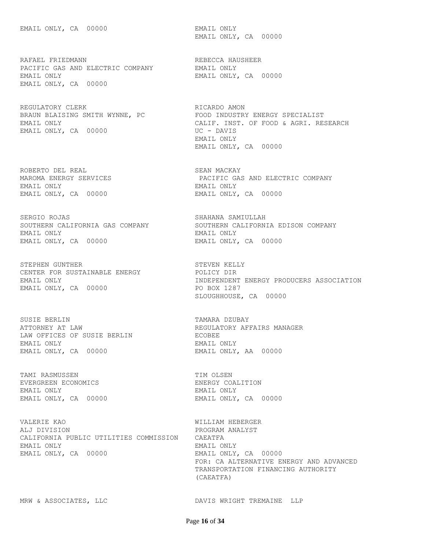RAFAEL FRIEDMANN REBECCA HAUSHEER PACIFIC GAS AND ELECTRIC COMPANY FINALL ONLY PACIFIC GAS AND ELECTRIC COMPANY FEMAIL ONLY EMAIL ONLY, CA 00000 EMAIL ONLY, CA 00000

REGULATORY CLERK REGULATORY RICARDO AMON EMAIL ONLY, CA 00000 UC - DAVIS

ROBERTO DEL REAL SOLO SEAN MACKAY EMAIL ONLY EMAIL ONLY EMAIL ONLY, CA 00000 EMAIL ONLY, CA 00000

SERGIO ROJAS SHAHANA SAMIULLAH EMAIL ONLY EMAIL ONLY EMAIL ONLY, CA 00000 EMAIL ONLY, CA 00000

STEPHEN GUNTHER STEVEN KELLY CENTER FOR SUSTAINABLE ENERGY POLICY DIR EMAIL ONLY, CA 00000 PO BOX 1287

SUSIE BERLIN TAMARA DZUBAY ATTORNEY AT LAW REGULATORY AFFAIRS MANAGER LAW OFFICES OF SUSIE BERLIN ECOBEE EMAIL ONLY EMAIL ONLY EMAIL ONLY, CA 00000 EMAIL ONLY, AA 00000

TAMI RASMUSSEN TIM OLSEN EVERGREEN ECONOMICS ENERGY COALITION EMAIL ONLY EMAIL ONLY

VALERIE KAO WILLIAM HEBERGER ALJ DIVISION PROGRAM ANALYST CALIFORNIA PUBLIC UTILITIES COMMISSION CAEATFA EMAIL ONLY EMAIL ONLY EMAIL ONLY, CA 00000 EMAIL ONLY, CA 00000

EMAIL ONLY, CA 00000

BRAUN BLAISING SMITH WYNNE, PC FOOD INDUSTRY ENERGY SPECIALIST EMAIL ONLY CALIF. INST. OF FOOD & AGRI. RESEARCH EMAIL ONLY EMAIL ONLY, CA 00000

MAROMA ENERGY SERVICES PACIFIC GAS AND ELECTRIC COMPANY

SOUTHERN CALIFORNIA GAS COMPANY SOUTHERN CALIFORNIA EDISON COMPANY

EMAIL ONLY INDEPENDENT ENERGY PRODUCERS ASSOCIATION SLOUGHHOUSE, CA 00000

EMAIL ONLY, CA 00000 BMAIL ONLY, CA 00000

 FOR: CA ALTERNATIVE ENERGY AND ADVANCED TRANSPORTATION FINANCING AUTHORITY (CAEATFA)

MRW & ASSOCIATES, LLC **EXECUTE SECURIT ASSOCIATES**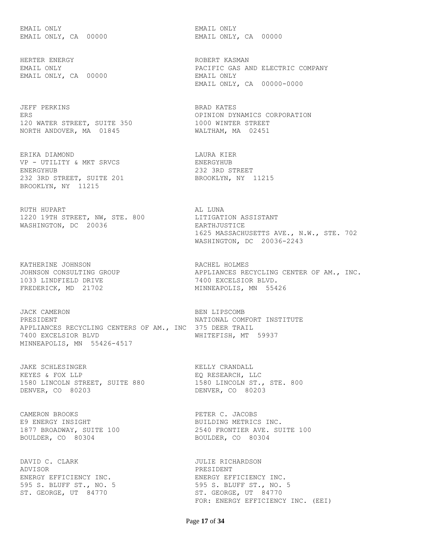EMAIL ONLY EMAIL ONLY

HERTER ENERGY **ROBERT KASMAN** EMAIL ONLY, CA 00000 EMAIL ONLY

JEFF PERKINS BRAD KATES 120 WATER STREET, SUITE 350 1000 WINTER STREET NORTH ANDOVER, MA 01845 WALTHAM, MA 02451

ERIKA DIAMOND LAURA KIER VP - UTILITY & MKT SRVCS ENERGYHUB ENERGYHUB 232 3RD STREET 232 3RD STREET, SUITE 201 BROOKLYN, NY 11215 BROOKLYN, NY 11215

RUTH HUPART **ALL** LUNA 1220 19TH STREET, NW, STE. 800 LITIGATION ASSISTANT WASHINGTON, DC 20036 EARTHJUSTICE

KATHERINE JOHNSON **RACHEL HOLMES** 1033 LINDFIELD DRIVE 7400 EXCELSIOR BLVD. FREDERICK, MD 21702 MINNEAPOLIS, MN 55426

JACK CAMERON BEN LIPSCOMB PRESIDENT **NATIONAL COMFORT INSTITUTE** APPLIANCES RECYCLING CENTERS OF AM., INC 375 DEER TRAIL 7400 EXCELSIOR BLVD WHITEFISH, MT 59937 MINNEAPOLIS, MN 55426-4517

JAKE SCHLESINGER **KELLY CRANDALL** KEYES & FOX LLP THE SECOND FOR RESEARCH, LLC 1580 LINCOLN STREET, SUITE 880 1580 LINCOLN ST., STE. 800 DENVER, CO 80203 DENVER, CO 80203

CAMERON BROOKS **PETER C. JACOBS** E9 ENERGY INSIGHT BUILDING METRICS INC. BOULDER, CO 80304 BOULDER, CO 80304

DAVID C. CLARK **JULIE RICHARDSON** ADVISOR PRESIDENT ENERGY EFFICIENCY INC. THE RESERCY EFFICIENCY INC. ST. GEORGE, UT 84770 ST. GEORGE, UT 84770

EMAIL ONLY, CA 00000 EMAIL ONLY, CA 00000

EMAIL ONLY PACIFIC GAS AND ELECTRIC COMPANY EMAIL ONLY, CA 00000-0000

ERS OPINION DYNAMICS CORPORATION

 1625 MASSACHUSETTS AVE., N.W., STE. 702 WASHINGTON, DC 20036-2243

JOHNSON CONSULTING GROUP APPLIANCES RECYCLING CENTER OF AM., INC.

1877 BROADWAY, SUITE 100 2540 FRONTIER AVE. SUITE 100

595 S. BLUFF ST., NO. 5 595 S. BLUFF ST., NO. 5 FOR: ENERGY EFFICIENCY INC. (EEI)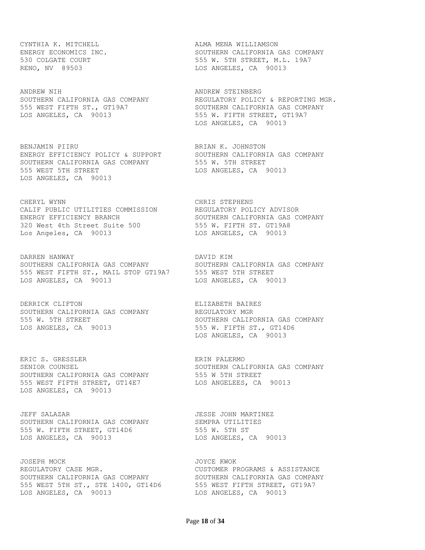CYNTHIA K. MITCHELL **ALMA MENA WILLIAMSON** 

ANDREW NIH ANDREW STEINBERG LOS ANGELES, CA 90013 **120 SEPTE STAGE STAGE STAGE STAGE STAGE STAGE STAGE STAGE STAGE STAGE STAGE STAGE STAGE** 

BENJAMIN PIIRU **BRIAN K. JOHNSTON** ENERGY EFFICIENCY POLICY & SUPPORT SOUTHERN CALIFORNIA GAS COMPANY SOUTHERN CALIFORNIA GAS COMPANY 555 W. 5TH STREET 555 WEST 5TH STREET THE LOS ANGELES, CA 90013 LOS ANGELES, CA 90013

CHERYL WYNN CHRIS STEPHENS CALIF PUBLIC UTILITIES COMMISSION REGULATORY POLICY ADVISOR ENERGY EFFICIENCY BRANCH SOUTHERN CALIFORNIA GAS COMPANY 320 West 4th Street Suite 500 555 W. FIFTH ST. GT19A8 Los Angeles, CA 90013 LOS ANGELES, CA 90013

DARREN HANWAY DAVID KIM SOUTHERN CALIFORNIA GAS COMPANY SOUTHERN CALIFORNIA GAS COMPANY 555 WEST FIFTH ST., MAIL STOP GT19A7 555 WEST 5TH STREET LOS ANGELES, CA 90013 LOS ANGELES, CA 90013

DERRICK CLIFTON **ELIZABETH BAIRES** SOUTHERN CALIFORNIA GAS COMPANY REGULATORY MGR 555 W. 5TH STREET SOUTHERN CALIFORNIA GAS COMPANY LOS ANGELES, CA 90013 555 W. FIFTH ST., GT14D6

ERIC S. GRESSLER ERIN PALERMO SENIOR COUNSEL SOUTHERN CALIFORNIA GAS COMPANY SOUTHERN CALIFORNIA GAS COMPANY 555 W 5TH STREET 555 WEST FIFTH STREET, GT14E7 LOS ANGELEES, CA 90013 LOS ANGELES, CA 90013

JEFF SALAZAR JESSE JOHN MARTINEZ SOUTHERN CALIFORNIA GAS COMPANY SEMPRA UTILITIES 555 W. FIFTH STREET, GT14D6 555 W. 5TH ST LOS ANGELES, CA 90013 LOS ANGELES, CA 90013

JOSEPH MOCK JOYCE KWOK REGULATORY CASE MGR. THE REGULATORY CASE MORE CUSTOMER PROGRAMS & ASSISTANCE SOUTHERN CALIFORNIA GAS COMPANY SOUTHERN CALIFORNIA GAS COMPANY 555 WEST 5TH ST., STE 1400, GT14D6 555 WEST FIFTH STREET, GT19A7 LOS ANGELES, CA 90013 LOS ANGELES, CA 90013

ENERGY ECONOMICS INC. THE SOUTHERN CALIFORNIA GAS COMPANY 530 COLGATE COURT 555 W. 5TH STREET, M.L. 19A7 RENO, NV 89503 and the set of the set of the set of the set of the set of the set of the set of the set of the set of the set of the set of the set of the set of the set of the set of the set of the set of the set of the s

SOUTHERN CALIFORNIA GAS COMPANY REGULATORY POLICY & REPORTING MGR. 555 WEST FIFTH ST., GT19A7 SOUTHERN CALIFORNIA GAS COMPANY LOS ANGELES, CA 90013

LOS ANGELES, CA 90013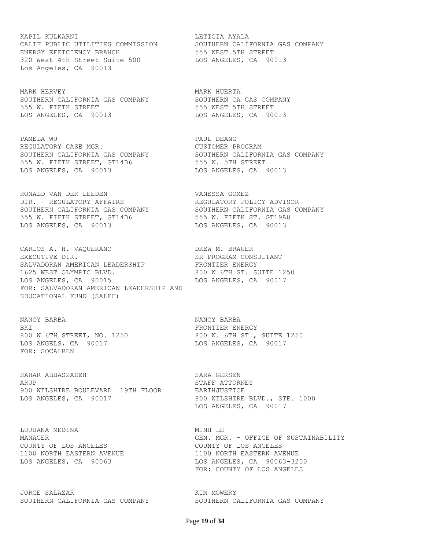KAPIL KULKARNI LETICIA AYALA CALIF PUBLIC UTILITIES COMMISSION SOUTHERN CALIFORNIA GAS COMPANY ENERGY EFFICIENCY BRANCH 555 WEST 5TH STREET 320 West 4th Street Suite 500 LOS ANGELES, CA 90013 Los Angeles, CA 90013

MARK HERVEY **MARK HUERTA** SOUTHERN CALIFORNIA GAS COMPANY SOUTHERN CA GAS COMPANY 555 W. FIFTH STREET **555 WEST 5TH STREET** LOS ANGELES, CA 90013 LOS ANGELES, CA 90013

PAMELA WU PAUL DEANG REGULATORY CASE MGR. THE CUSTOMER PROGRAM SOUTHERN CALIFORNIA GAS COMPANY SOUTHERN CALIFORNIA GAS COMPANY 555 W. FIFTH STREET, GT14D6 555 W. 5TH STREET LOS ANGELES, CA 90013 LOS ANGELES, CA 90013

RONALD VAN DER LEEDEN VANESSA GOMEZ DIR. - REGULATORY AFFAIRS REGULATORY POLICY ADVISOR SOUTHERN CALIFORNIA GAS COMPANY SOUTHERN CALIFORNIA GAS COMPANY 555 W. FIFTH STREET, GT14D6 555 W. FIFTH ST. GT19A8 LOS ANGELES, CA 90013 LOS ANGELES, CA 90013

CARLOS A. H. VAQUERANO DREW M. BRAUER EXECUTIVE DIR. SR PROGRAM CONSULTANT SALVADORAN AMERICAN LEADERSHIP FRONTIER ENERGY 1625 WEST OLYMPIC BLVD. 800 W 6TH ST. SUITE 1250 LOS ANGELES, CA 90015 LOS ANGELES, CA 90017 FOR: SALVADORAN AMERICAN LEADERSHIP AND EDUCATIONAL FUND (SALEF)

NANCY BARBA NANCY BARBA BKI FRONTIER ENERGY 800 W 6TH STREET, NO. 1250 800 W. 6TH ST., SUITE 1250 LOS ANGELS, CA 90017 LOS ANGELES, CA 90017 FOR: SOCALREN

SAHAR ABBASZADEH SARA GERSEN ARUP STAFF ATTORNEY 900 WILSHIRE BOULEVARD 19TH FLOOR EARTHJUSTICE LOS ANGELES, CA 90017 800 WILSHIRE BLVD., STE. 1000

LUJUANA MEDINA MINH LE COUNTY OF LOS ANGELES COUNTY OF LOS ANGELES

JORGE SALAZAR **KIM MOWERY** SOUTHERN CALIFORNIA GAS COMPANY SOUTHERN CALIFORNIA GAS COMPANY

LOS ANGELES, CA 90017

MANAGER GEN. MGR. - OFFICE OF SUSTAINABILITY 1100 NORTH EASTERN AVENUE 1100 NORTH EASTERN AVENUE LOS ANGELES, CA 90063 LOS ANGELES, CA 90063-3200 FOR: COUNTY OF LOS ANGELES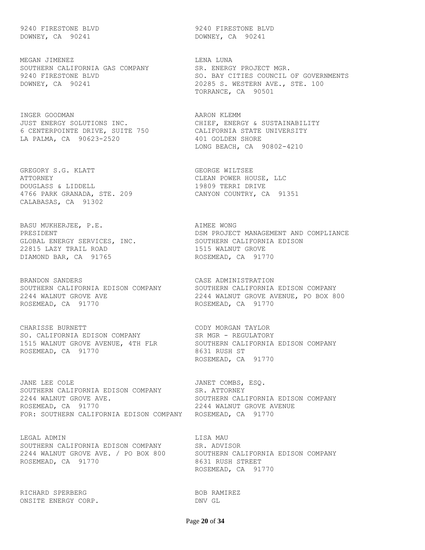DOWNEY, CA 90241 DOWNEY, CA 90241

MEGAN JIMENEZ **LENA LUNA** SOUTHERN CALIFORNIA GAS COMPANY SR. ENERGY PROJECT MGR.

INGER GOODMAN **AARON** KLEMM JUST ENERGY SOLUTIONS INC. CHIEF, ENERGY & SUSTAINABILITY 6 CENTERPOINTE DRIVE, SUITE 750 CALIFORNIA STATE UNIVERSITY LA PALMA, CA 90623-2520 401 GOLDEN SHORE

GREGORY S.G. KLATT GEORGE WILTSEE ATTORNEY CLEAN POWER HOUSE, LLC DOUGLASS & LIDDELL 19809 TERRI DRIVE 4766 PARK GRANADA, STE. 209 CANYON COUNTRY, CA 91351 CALABASAS, CA 91302

BASU MUKHERJEE, P.E. AIMEE WONG GLOBAL ENERGY SERVICES, INC. SOUTHERN CALIFORNIA EDISON 22815 LAZY TRAIL ROAD 1515 WALNUT GROVE DIAMOND BAR, CA 91765 ROSEMEAD, CA 91770

BRANDON SANDERS **CASE ADMINISTRATION** ROSEMEAD, CA 91770 ROSEMEAD, CA 91770

CHARISSE BURNETT CODY MORGAN TAYLOR SO. CALIFORNIA EDISON COMPANY SR MGR - REGULATORY ROSEMEAD, CA 91770 8631 RUSH ST

JANE LEE COLE **Southern COMBS, ESQ.** SOUTHERN CALIFORNIA EDISON COMPANY SR. ATTORNEY 2244 WALNUT GROVE AVE. THE SOUTHERN CALIFORNIA EDISON COMPANY ROSEMEAD, CA 91770 2244 WALNUT GROVE AVENUE FOR: SOUTHERN CALIFORNIA EDISON COMPANY ROSEMEAD, CA 91770

LEGAL ADMIN LISA MAU SOUTHERN CALIFORNIA EDISON COMPANY SR. ADVISOR 2244 WALNUT GROVE AVE. / PO BOX 800 SOUTHERN CALIFORNIA EDISON COMPANY ROSEMEAD, CA 91770 8631 RUSH STREET

RICHARD SPERBERG BOB RAMIREZ ONSITE ENERGY CORP. DNV GL

9240 FIRESTONE BLVD 9240 FIRESTONE BLVD

9240 FIRESTONE BLVD SO. BAY CITIES COUNCIL OF GOVERNMENTS DOWNEY, CA 90241 20285 S. WESTERN AVE., STE. 100 TORRANCE, CA 90501

LONG BEACH, CA 90802-4210

PRESIDENT **Example 20 Terms of the USA PROJECT MANAGEMENT** AND COMPLIANCE

SOUTHERN CALIFORNIA EDISON COMPANY SOUTHERN CALIFORNIA EDISON COMPANY 2244 WALNUT GROVE AVE 2244 WALNUT GROVE AVENUE, PO BOX 800

1515 WALNUT GROVE AVENUE, 4TH FLR SOUTHERN CALIFORNIA EDISON COMPANY ROSEMEAD, CA 91770

ROSEMEAD, CA 91770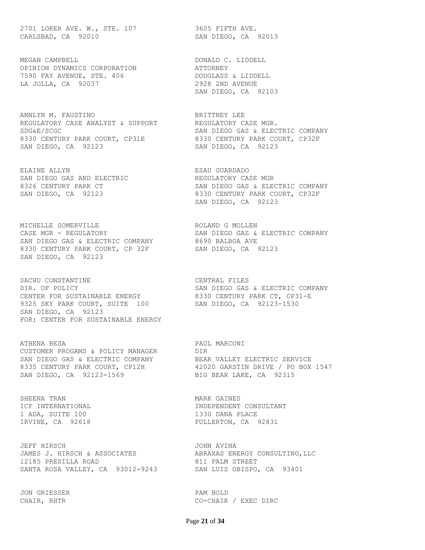2701 LOKER AVE. W., STE. 107 3605 FIFTH AVE. CARLSBAD, CA 92010 SAN DIEGO, CA 92013

MEGAN CAMPBELL **DONALD C. LIDDELL** OPINION DYNAMICS CORPORATION **ATTORNEY** 7590 FAY AVENUE, STE. 406 DOUGLASS & LIDDELL LA JOLLA, CA 92037 2928 2ND AVENUE

ANNLYN M. FAUSTINO BRITTNEY LEE REGULATORY CASE ANALYST & SUPPORT REGULATORY CASE MGR. SDG&E/SCGC SAN DIEGO GAS & ELECTRIC COMPANY 8330 CENTURY PARK COURT, CP31E 8330 CENTURY PARK COURT, CP32F SAN DIEGO, CA 92123 SAN DIEGO, CA 92123

ELAINE ALLYN ESAU GUARDADO SAN DIEGO GAS AND ELECTRIC **Example 19 FOST CASE REGULATORY CASE MGR** 

MICHELLE SOMERVILLE **EXECUTE SOMERVILLE** CASE MGR - REGULATORY SAN DIEGO GAS & ELECTRIC COMPANY SAN DIEGO GAS & ELECTRIC COMPANY 8690 BALBOA AVE 8330 CENTURY PARK COURT, CP 32F SAN DIEGO, CA 92123 SAN DIEGO, CA 92123

SACHU CONSTANTINE CENTRAL FILES DIR. OF POLICY SAN DIEGO GAS & ELECTRIC COMPANY CENTER FOR SUSTAINABLE ENERGY 8330 CENTURY PARK CT, CP31-E 9325 SKY PARK COURT, SUITE 100 SAN DIEGO, CA 92123-1530 SAN DIEGO, CA 92123 FOR: CENTER FOR SUSTAINABLE ENERGY

ATHENA BESA PAUL MARCONI CUSTOMER PROGAMS & POLICY MANAGER DIR SAN DIEGO GAS & ELECTRIC COMPANY BEAR VALLEY ELECTRIC SERVICE 8335 CENTURY PARK COURT, CP12H 42020 GARSTIN DRIVE / PO BOX 1547 SAN DIEGO, CA 92123-1569 BIG BEAR LAKE, CA 92315

SHEENA TRAN MARK GAINES 1 ADA, SUITE 100 1330 DANA PLACE

JEFF HIRSCH JOHN AVINA JAMES J. HIRSCH & ASSOCIATES ABRAXAS ENERGY CONSULTING, LLC 12185 PRESILLA ROAD 811 PALM STREET SANTA ROSA VALLEY, CA 93012-9243 SAN LUIS OBISPO, CA 93401

JON GRIESSER PAM BOLD

SAN DIEGO, CA 92103

8326 CENTURY PARK CT SAN DIEGO GAS & ELECTRIC COMPANY SAN DIEGO, CA 92123 8330 CENTURY PARK COURT, CP32F SAN DIEGO, CA 92123

ICF INTERNATIONAL INDEPENDENT CONSULTANT IRVINE, CA 92618 FULLERTON, CA 92831

CHAIR, RHTR CO-CHAIR / EXEC DIRC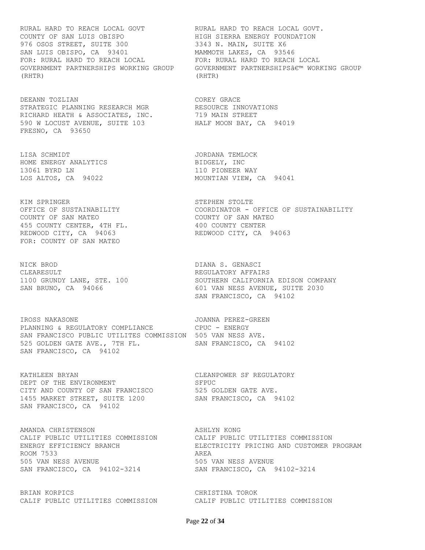RURAL HARD TO REACH LOCAL GOVT RURAL HARD TO REACH LOCAL GOVT. COUNTY OF SAN LUIS OBISPO HIGH SIERRA ENERGY FOUNDATION 976 OSOS STREET, SUITE 300 3343 N. MAIN, SUITE X6 SAN LUIS OBISPO, CA 93401 MAMMOTH LAKES, CA 93546 FOR: RURAL HARD TO REACH LOCAL FOR: RURAL HARD TO REACH LOCAL (RHTR) (RHTR)

DEEANN TOZLIAN **COREY GRACE** STRATEGIC PLANNING RESEARCH MGR BESOURCE INNOVATIONS RICHARD HEATH & ASSOCIATES, INC. 719 MAIN STREET 590 W LOCUST AVENUE, SUITE 103 HALF MOON BAY, CA 94019 FRESNO, CA 93650

LISA SCHMIDT JORDANA TEMLOCK HOME ENERGY ANALYTICS BIDGELY, INC 13061 BYRD LN 110 PIONEER WAY

KIM SPRINGER STEPHEN STOLTE COUNTY OF SAN MATEO COUNTY OF SAN MATEO 455 COUNTY CENTER, 4TH FL. 400 COUNTY CENTER REDWOOD CITY, CA 94063 REDWOOD CITY, CA 94063 FOR: COUNTY OF SAN MATEO

NICK BROD DIANA S. GENASCI CLEARESULT REGULATORY AFFAIRS

IROSS NAKASONE JOANNA PEREZ-GREEN PLANNING & REGULATORY COMPLIANCE CPUC - ENERGY SAN FRANCISCO PUBLIC UTILITES COMMISSION 505 VAN NESS AVE. 525 GOLDEN GATE AVE., 7TH FL. SAN FRANCISCO, CA 94102 SAN FRANCISCO, CA 94102

KATHLEEN BRYAN CLEANPOWER SF REGULATORY DEPT OF THE ENVIRONMENT SFPUC CITY AND COUNTY OF SAN FRANCISCO 525 GOLDEN GATE AVE. 1455 MARKET STREET, SUITE 1200 SAN FRANCISCO, CA 94102 SAN FRANCISCO, CA 94102

AMANDA CHRISTENSON ASHLYN KONG ROOM 7533 AREA 505 VAN NESS AVENUE 505 VAN NESS AVENUE SAN FRANCISCO, CA 94102-3214 SAN FRANCISCO, CA 94102-3214

BRIAN KORPICS CHRISTINA TOROK CALIF PUBLIC UTILITIES COMMISSION CALIF PUBLIC UTILITIES COMMISSION

GOVERNMENT PARTNERSHIPS WORKING GROUP GOVERNMENT PARTNERSHIPS' WORKING GROUP

LOS ALTOS, CA 94022 MOUNTIAN VIEW, CA 94041

OFFICE OF SUSTAINABILITY COORDINATOR - OFFICE OF SUSTAINABILITY

1100 GRUNDY LANE, STE. 100 SOUTHERN CALIFORNIA EDISON COMPANY SAN BRUNO, CA 94066 601 VAN NESS AVENUE, SUITE 2030 SAN FRANCISCO, CA 94102

CALIF PUBLIC UTILITIES COMMISSION CALIF PUBLIC UTILITIES COMMISSION ELECTRICITY PRICING AND CUSTOMER PROGRAM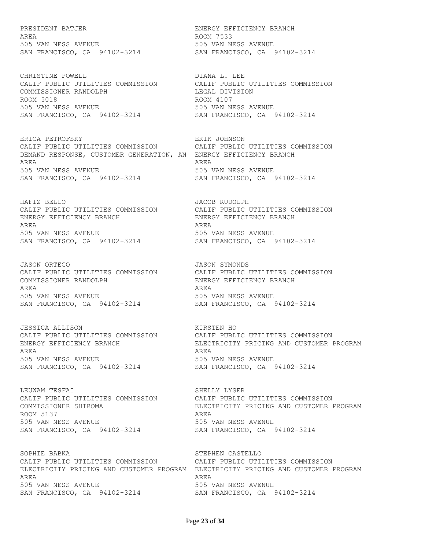AREA ROOM 7533 505 VAN NESS AVENUE 505 VAN NESS AVENUE

CALIF PUBLIC UTILITIES COMMISSION CALIF PUBLIC UTILITIES COMMISSION COMMISSIONER RANDOLPH LEGAL DIVISION ROOM 5018 ROOM 4107 505 VAN NESS AVENUE 505 VAN NESS AVENUE SAN FRANCISCO, CA 94102-3214 SAN FRANCISCO, CA 94102-3214

ERICA PETROFSKY ERIK JOHNSON CALIF PUBLIC UTILITIES COMMISSION CALIF PUBLIC UTILITIES COMMISSION DEMAND RESPONSE, CUSTOMER GENERATION, AN ENERGY EFFICIENCY BRANCH AREA AREA 505 VAN NESS AVENUE 505 VAN NESS AVENUE SAN FRANCISCO, CA 94102-3214 SAN FRANCISCO, CA 94102-3214

HAFIZ BELLO JACOB RUDOLPH CALIF PUBLIC UTILITIES COMMISSION CALIF PUBLIC UTILITIES COMMISSION ENERGY EFFICIENCY BRANCH ENERGY EFFICIENCY BRANCH AREA AREA 505 VAN NESS AVENUE<br>
SAN FRANCISCO, CA 94102-3214<br>
SAN FRANCISCO, CA 94102-3214 SAN FRANCISCO, CA 94102-3214 SAN FRANCISCO, CA 94102-3214

JASON ORTEGO JASON SYMONDS CALIF PUBLIC UTILITIES COMMISSION CALIF PUBLIC UTILITIES COMMISSION COMMISSIONER RANDOLPH ENERGY EFFICIENCY BRANCH AREA AREA 505 VAN NESS AVENUE 505 VAN NESS AVENUE SAN FRANCISCO, CA 94102-3214 SAN FRANCISCO, CA 94102-3214

JESSICA ALLISON KIRSTEN HO AREA AREA 505 VAN NESS AVENUE 505 VAN NESS AVENUE SAN FRANCISCO, CA 94102-3214 SAN FRANCISCO, CA 94102-3214

LEUWAM TESFAI SHELLY LYSER ROOM 5137 AREA 505 VAN NESS AVENUE 505 VAN NESS AVENUE SAN FRANCISCO, CA 94102-3214 SAN FRANCISCO, CA 94102-3214

SOPHIE BABKA STEPHEN CASTELLO CALIF PUBLIC UTILITIES COMMISSION CALIF PUBLIC UTILITIES COMMISSION AREA AREA 505 VAN NESS AVENUE 505 VAN NESS AVENUE SAN FRANCISCO, CA 94102-3214 SAN FRANCISCO, CA 94102-3214

PRESIDENT BATJER ENERGY EFFICIENCY BRANCH SAN FRANCISCO, CA 94102-3214 SAN FRANCISCO, CA 94102-3214

CHRISTINE POWELL<br>CALIF PUBLIC UTILITIES COMMISSION CALIF PUBLIC UTILITIES COMMISSION

CALIF PUBLIC UTILITIES COMMISSION CALIF PUBLIC UTILITIES COMMISSION ENERGY EFFICIENCY BRANCH ELECTRICITY PRICING AND CUSTOMER PROGRAM

CALIF PUBLIC UTILITIES COMMISSION CALIF PUBLIC UTILITIES COMMISSION COMMISSIONER SHIROMA ELECTRICITY PRICING AND CUSTOMER PROGRAM

ELECTRICITY PRICING AND CUSTOMER PROGRAM ELECTRICITY PRICING AND CUSTOMER PROGRAM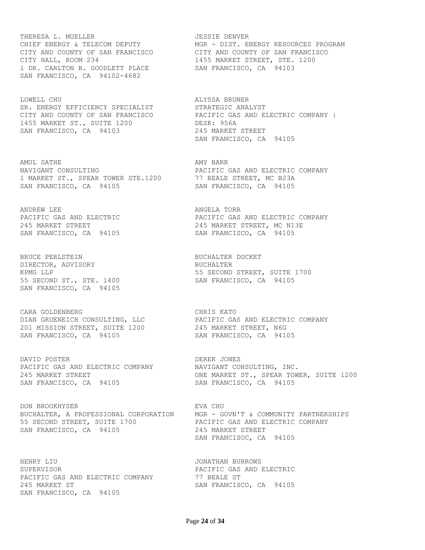THERESA L. MUELLER **JESSIE DENVER** CITY HALL, ROOM 234 1455 MARKET STREET, STE. 1200 1 DR. CARLTON B. GOODLETT PLACE SAN FRANCISCO, CA 94103 SAN FRANCISCO, CA 94102-4682

LOWELL CHU CHU ALYSSA BRUNER SR. ENERGY EFFICIENCY SPECIALIST STRATEGIC ANALYST 1455 MARKET ST., SUITE 1200 DESK: 956A SAN FRANCISCO, CA 94103 245 MARKET STREET

AMUL SATHE AMY BARR NAVIGANT CONSULTING **EXAMPLE SETTE** CAS AND ELECTRIC COMPANY 1 MARKET ST., SPEAR TOWER STE.1200 77 BEALE STREET, MC B23A SAN FRANCISCO, CA 94105 SAN FRANCISCO, CA 94105

ANDREW LEE **ANGELA** TORR

BRUCE PERLSTEIN **BUCHALTER DOCKET** DIRECTOR, ADVISORY **BUCHALTER** 55 SECOND ST., STE. 1400 SAN FRANCISCO, CA 94105 SAN FRANCISCO, CA 94105

CARA GOLDENBERG CARA CHRIS KATO 201 MISSION STREET, SUITE 1200 245 MARKET STREET, N6G SAN FRANCISCO, CA 94105 SAN FRANCISCO, CA 94105

DAVID POSTER **DEREK JONES** PACIFIC GAS AND ELECTRIC COMPANY NAVIGANT CONSULTING, INC. SAN FRANCISCO, CA 94105 SAN FRANCISCO, CA 94105

DON BROOKHYSER **EVA CHU** BUCHALTER, A PROFESSIONAL CORPORATION MGR - GOVN'T & COMMUNITY PARTNERSHIPS 55 SECOND STREET, SUITE 1700 PACIFIC GAS AND ELECTRIC COMPANY SAN FRANCISCO, CA 94105 245 MARKET STREET

HENRY LIU JONATHAN BURROWS SUPERVISOR PACIFIC GAS AND ELECTRIC PACIFIC GAS AND ELECTRIC COMPANY 77 BEALE ST 245 MARKET ST SAN FRANCISCO, CA 94105 SAN FRANCISCO, CA 94105

CHIEF ENERGY & TELECOM DEPUTY MGR - DIST. ENERGY RESOURCES PROGRAM CITY AND COUNTY OF SAN FRANCISCO CITY AND COUNTY OF SAN FRANCISCO

CITY AND COUNTY OF SAN FRANCISCO PACIFIC GAS AND ELECTRIC COMPANY | SAN FRANCISCO, CA 94105

PACIFIC GAS AND ELECTRIC **EXECUTE:** PACIFIC GAS AND ELECTRIC COMPANY 245 MARKET STREET 245 MARKET STREET, MC N13E SAN FRANCISCO, CA 94105 SAN FRANCISCO, CA 94105

KPMG LLP **1700** STREET, SUITE 1700

DIAN GRUENEICH CONSULTING, LLC PACIFIC GAS AND ELECTRIC COMPANY

245 MARKET STREET ONE MARKET ST., SPEAR TOWER, SUITE 1200

SAN FRANCISOC, CA 94105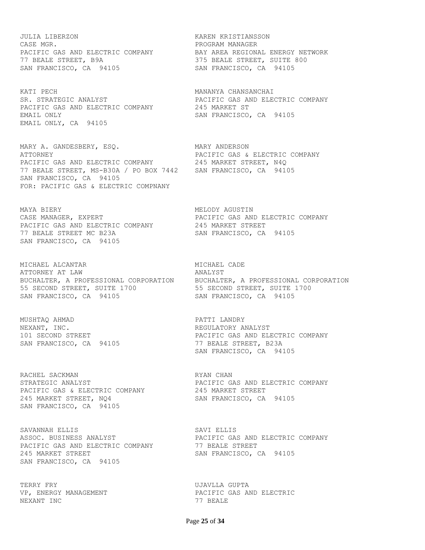JULIA LIBERZON KAREN KRISTIANSSON CASE MGR. **PROGRAM MANAGER** PACIFIC GAS AND ELECTRIC COMPANY BAY AREA REGIONAL ENERGY NETWORK 77 BEALE STREET, B9A 375 BEALE STREET, SUITE 800 SAN FRANCISCO, CA 94105 SAN FRANCISCO, CA 94105

KATI PECH MANANYA CHANSANCHAI SR. STRATEGIC ANALYST **EXECUTE:** PACIFIC GAS AND ELECTRIC COMPANY PACIFIC GAS AND ELECTRIC COMPANY 245 MARKET ST EMAIL ONLY **SAN FRANCISCO, CA** 94105 EMAIL ONLY, CA 94105

MARY A. GANDESBERY, ESQ. MARY ANDERSON ATTORNEY PACIFIC GAS & ELECTRIC COMPANY PACIFIC GAS AND ELECTRIC COMPANY 245 MARKET STREET, N4Q 77 BEALE STREET, MS-B30A / PO BOX 7442 SAN FRANCISCO, CA 94105 SAN FRANCISCO, CA 94105 FOR: PACIFIC GAS & ELECTRIC COMPNANY

MAYA BIERY **MELODY** AGUSTIN CASE MANAGER, EXPERT **EXPERT EXAMPLE SERVICES** PACIFIC GAS AND ELECTRIC COMPANY PACIFIC GAS AND ELECTRIC COMPANY 245 MARKET STREET 77 BEALE STREET MC B23A SAN FRANCISCO, CA 94105 SAN FRANCISCO, CA 94105

MICHAEL ALCANTAR **MICHAEL CADE** ATTORNEY AT LAW **ANALYST** BUCHALTER, A PROFESSIONAL CORPORATION BUCHALTER, A PROFESSIONAL CORPORATION 55 SECOND STREET, SUITE 1700 55 SECOND STREET, SUITE 1700 SAN FRANCISCO, CA 94105 SAN FRANCISCO, CA 94105

MUSHTAQ AHMAD **PATTI LANDRY** NEXANT, INC. THE REGULATORY ANALYST

RACHEL SACKMAN **RACHEL SACKMAN** PACIFIC GAS & ELECTRIC COMPANY **245 MARKET STREET** 245 MARKET STREET, NQ4 SAN FRANCISCO, CA 94105 SAN FRANCISCO, CA 94105

SAVANNAH ELLIS SAVI ELLIS PACIFIC GAS AND ELECTRIC COMPANY 77 BEALE STREET 245 MARKET STREET SAN FRANCISCO, CA 94105 SAN FRANCISCO, CA 94105

TERRY FRY **EXECUTE IN THE SERVIT EXECUTE A** UJAVLLA GUPTA NEXANT INC 2008 2009 12:00 12:00 12:00 12:00 12:00 12:00 12:00 12:00 12:00 12:00 12:00 12:00 12:00 12:00 12:00

101 SECOND STREET **PACIFIC GAS AND ELECTRIC COMPANY** SAN FRANCISCO, CA 94105 77 BEALE STREET, B23A SAN FRANCISCO, CA 94105

STRATEGIC ANALYST **EXECUTE:** PACIFIC GAS AND ELECTRIC COMPANY

ASSOC. BUSINESS ANALYST **EXECUTE COMPANY** PACIFIC GAS AND ELECTRIC COMPANY

VP, ENERGY MANAGEMENT **EXECUTE:** PACIFIC GAS AND ELECTRIC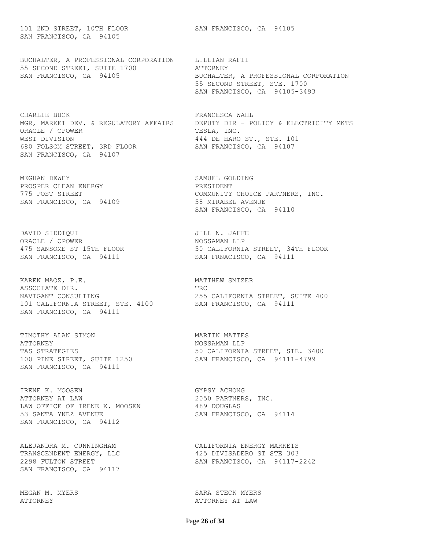101 2ND STREET, 10TH FLOOR SAN FRANCISCO, CA 94105 SAN FRANCISCO, CA 94105

BUCHALTER, A PROFESSIONAL CORPORATION LILLIAN RAFII 55 SECOND STREET, SUITE 1700 ATTORNEY SAN FRANCISCO, CA 94105 BUCHALTER, A PROFESSIONAL CORPORATION

CHARLIE BUCK **FRANCESCA** WAHL ORACLE / OPOWER TESLA, INC. WEST DIVISION 444 DE HARO ST., STE. 101 680 FOLSOM STREET, 3RD FLOOR SAN FRANCISCO, CA 94107 SAN FRANCISCO, CA 94107

MEGHAN DEWEY SAMUEL GOLDING PROSPER CLEAN ENERGY **Example 20 FRESIDENT** SAN FRANCISCO, CA 94109 58 MIRABEL AVENUE

DAVID SIDDIQUI **ANGLE II DAVID SIDDIQUI JILL N. JAFFE** ORACLE / OPOWER NOSSAMAN LLP

KAREN MAOZ, P.E. MATTHEW SMIZER ASSOCIATE DIR. TRC NAVIGANT CONSULTING 255 CALIFORNIA STREET, SUITE 400 101 CALIFORNIA STREET, STE. 4100 SAN FRANCISCO, CA 94111 SAN FRANCISCO, CA 94111

TIMOTHY ALAN SIMON MARTIN MATTES ATTORNEY NOSSAMAN LLP SAN FRANCISCO, CA 94111

IRENE K. MOOSEN GYPSY ACHONG ATTORNEY AT LAW 2050 PARTNERS, INC. LAW OFFICE OF IRENE K. MOOSEN 489 DOUGLAS 53 SANTA YNEZ AVENUE **SAN FRANCISCO, CA** 94114 SAN FRANCISCO, CA 94112

SAN FRANCISCO, CA 94117

MEGAN M. MYERS SARA STECK MYERS

 55 SECOND STREET, STE. 1700 SAN FRANCISCO, CA 94105-3493

MGR, MARKET DEV. & REGULATORY AFFAIRS DEPUTY DIR - POLICY & ELECTRICITY MKTS

775 POST STREET COMMUNITY CHOICE PARTNERS, INC. SAN FRANCISCO, CA 94110

475 SANSOME ST 15TH FLOOR 50 CALIFORNIA STREET, 34TH FLOOR SAN FRANCISCO, CA 94111 SAN FRNACISCO, CA 94111

TAS STRATEGIES 60 CALIFORNIA STREET, STE. 3400 100 PINE STREET, SUITE 1250 SAN FRANCISCO, CA 94111-4799

ALEJANDRA M. CUNNINGHAM CALIFORNIA ENERGY MARKETS TRANSCENDENT ENERGY, LLC 425 DIVISADERO ST STE 303 2298 FULTON STREET SAN FRANCISCO, CA 94117-2242

ATTORNEY ATTORNEY AT LAW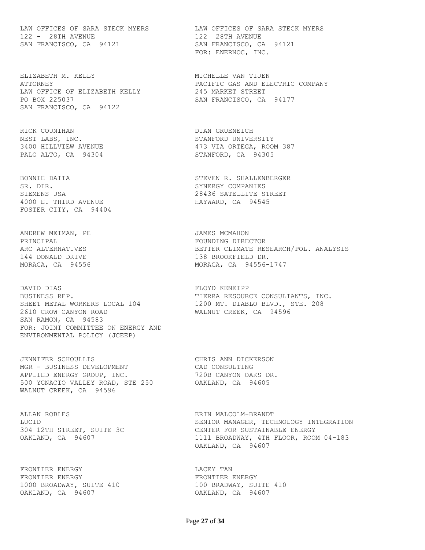LAW OFFICES OF SARA STECK MYERS LAW OFFICES OF SARA STECK MYERS 122 - 28TH AVENUE 122 28TH AVENUE SAN FRANCISCO, CA 94121 SAN FRANCISCO, CA 94121

ELIZABETH M. KELLY MICHELLE VAN TIJEN LAW OFFICE OF ELIZABETH KELLY 245 MARKET STREET PO BOX 225037 SAN FRANCISCO, CA 94177 SAN FRANCISCO, CA 94122

RICK COUNIHAN DIAN GRUENEICH NEST LABS, INC. STANFORD UNIVERSITY

SR. DIR. SYNERGY COMPANIES SIEMENS USA 28436 SATELLITE STREET 4000 E. THIRD AVENUE **HAYWARD, CA** 94545 FOSTER CITY, CA 94404

ANDREW MEIMAN, PE JAMES MCMAHON PRINCIPAL **FOUNDING DIRECTOR** 

DAVID DIAS FLOYD KENEIPP BUSINESS REP. THERRA RESOURCE CONSULTANTS, INC. SHEET METAL WORKERS LOCAL 104 1200 MT. DIABLO BLVD., STE. 208 2610 CROW CANYON ROAD WALNUT CREEK, CA 94596 SAN RAMON, CA 94583 FOR: JOINT COMMITTEE ON ENERGY AND ENVIRONMENTAL POLICY (JCEEP)

JENNIFER SCHOULLIS CHRIS ANN DICKERSON MGR - BUSINESS DEVELOPMENT CAD CONSULTING APPLIED ENERGY GROUP, INC. 720B CANYON OAKS DR. 500 YGNACIO VALLEY ROAD, STE 250 OAKLAND, CA 94605 WALNUT CREEK, CA 94596

ALLAN ROBLES ERIN MALCOLM-BRANDT 304 12TH STREET, SUITE 3C

FRONTIER ENERGY **Example 10** LACEY TAN FRONTIER ENERGY **FRONTIER** ENERGY 1000 BROADWAY, SUITE 410 100 BRADWAY, SUITE 410 OAKLAND, CA 94607 OAKLAND, CA 94607

FOR: ENERNOC, INC.

ATTORNEY PACIFIC GAS AND ELECTRIC COMPANY

3400 HILLVIEW AVENUE 473 VIA ORTEGA, ROOM 387 PALO ALTO, CA 94304 STANFORD, CA 94305

BONNIE DATTA STEVEN R. SHALLENBERGER

ARC ALTERNATIVES BETTER CLIMATE RESEARCH/POL. ANALYSIS 144 DONALD DRIVE 138 BROOKFIELD DR. MORAGA, CA 94556 MORAGA, CA 94556-1747

LUCID<br>
304 12TH STREET, SUITE 3C<br>
CENTER FOR SUSTAINABLE ENERGY OAKLAND, CA 94607 1111 BROADWAY, 4TH FLOOR, ROOM 04-183 OAKLAND, CA 94607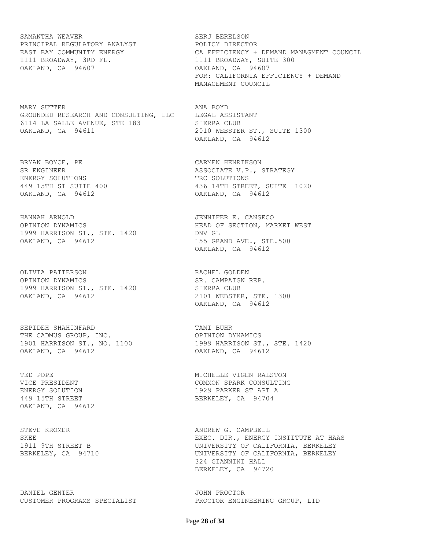SAMANTHA WEAVER SAMANTHA SERJ BERELSON PRINCIPAL REGULATORY ANALYST POLICY DIRECTOR 1111 BROADWAY, 3RD FL. 1111 BROADWAY, SUITE 300 OAKLAND, CA 94607 OAKLAND, CA 94607

MARY SUTTER ANA BOYD GROUNDED RESEARCH AND CONSULTING, LLC LEGAL ASSISTANT 6114 LA SALLE AVENUE, STE 183 SIERRA CLUB OAKLAND, CA 94611 2010 WEBSTER ST., SUITE 1300

BRYAN BOYCE, PE SAN BARAGE CARMEN HENRIKSON ENERGY SOLUTIONS TRC SOLUTIONS OAKLAND, CA 94612 OAKLAND, CA 94612

HANNAH ARNOLD JENNIFER E. CANSECO OPINION DYNAMICS **EXAMPLE SECTION, A SECTION, A SECTION**, MARKET WEST 1999 HARRISON ST., STE. 1420 DNV GL OAKLAND, CA 94612 155 GRAND AVE., STE.500

OLIVIA PATTERSON RACHEL GOLDEN OPINION DYNAMICS SR. CAMPAIGN REP. 1999 HARRISON ST., STE. 1420<br>04KLAND CA 94612 1999 HARRISON ST., STE. 1420<br>
OAKLAND, CA 94612<br>
2101 WEBSTER, STE. 1300

SEPIDEH SHAHINFARD **TAMI BUHR** THE CADMUS GROUP, INC. THE CADMUS GROUP, INC. OAKLAND, CA 94612 OAKLAND, CA 94612

OAKLAND, CA 94612

DANIEL GENTER **SERVICE SERVICES** OF STATE OF STATE OF STATE STATE OF STATE OF STATE OF STATE OF STATE OF STATE O

EAST BAY COMMUNITY ENERGY CA EFFICIENCY + DEMAND MANAGMENT COUNCIL FOR: CALIFORNIA EFFICIENCY + DEMAND MANAGEMENT COUNCIL

OAKLAND, CA 94612

SR ENGINEER **ASSOCIATE V.P., STRATEGY** 449 15TH ST SUITE 400 436 14TH STREET, SUITE 1020

OAKLAND, CA 94612

OAKLAND, CA 94612

1901 HARRISON ST., NO. 1100 1999 HARRISON ST., STE. 1420

TED POPE TED POPE ALSO MICHELLE VIGEN RALSTON VICE PRESIDENT **COMMON SPARK CONSULTING** ENERGY SOLUTION 1929 PARKER ST APT A BERKELEY, CA 94704

STEVE KROMER **ANDREW G. CAMPBELL** SKEE EXEC. DIR., ENERGY INSTITUTE AT HAAS 1911 9TH STREET B UNIVERSITY OF CALIFORNIA, BERKELEY BERKELEY, CA 94710 UNIVERSITY OF CALIFORNIA, BERKELEY 324 GIANNINI HALL BERKELEY, CA 94720

CUSTOMER PROGRAMS SPECIALIST PROCTOR ENGINEERING GROUP, LTD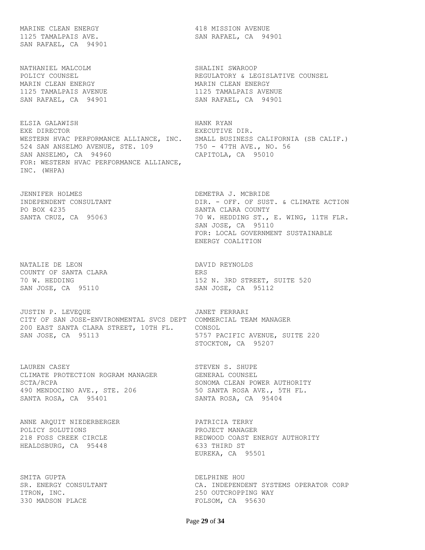MARINE CLEAN ENERGY 418 MISSION AVENUE 1125 TAMALPAIS AVE. SAN RAFAEL, CA 94901 SAN RAFAEL, CA 94901

NATHANIEL MALCOLM SHALINI SWAROOP MARIN CLEAN ENERGY **MARIN CLEAN ENERGY** 1125 TAMALPAIS AVENUE 1125 TAMALPAIS AVENUE SAN RAFAEL, CA 94901 SAN RAFAEL, CA 94901

ELSIA GALAWISH HANK RYAN EXE DIRECTOR **EXECUTIVE DIR.** WESTERN HVAC PERFORMANCE ALLIANCE, INC. SMALL BUSINESS CALIFORNIA (SB CALIF.) 524 SAN ANSELMO AVENUE, STE. 109 750 - 47TH AVE., NO. 56 SAN ANSELMO, CA 94960 CAPITOLA, CA 95010 FOR: WESTERN HVAC PERFORMANCE ALLIANCE, INC. (WHPA)

JENNIFER HOLMES DEMETRA J. MCBRIDE PO BOX 4235 SANTA CLARA COUNTY<br>
SANTA CRUZ, CA 95063 70 W. HEDDING ST.,

NATALIE DE LEON DAVID REYNOLDS COUNTY OF SANTA CLARA **ERS** SAN JOSE, CA 95110 SAN JOSE, CA 95112

JUSTIN P. LEVEQUE **JANET FERRARI** CITY OF SAN JOSE-ENVIRONMENTAL SVCS DEPT COMMERCIAL TEAM MANAGER 200 EAST SANTA CLARA STREET, 10TH FL. CONSOL SAN JOSE, CA 95113 6757 PACIFIC AVENUE, SUITE 220

LAUREN CASEY STEVEN S. SHUPE CLIMATE PROTECTION ROGRAM MANAGER GENERAL COUNSEL SCTA/RCPA SONOMA CLEAN POWER AUTHORITY 490 MENDOCINO AVE., STE. 206 50 SANTA ROSA AVE., 5TH FL. SANTA ROSA, CA 95401 SANTA ROSA, CA 95404

ANNE ARQUIT NIEDERBERGER PATRICIA TERRY POLICY SOLUTIONS PROJECT MANAGER HEALDSBURG, CA 95448 633 THIRD ST

SMITA GUPTA **DELPHINE HOU** ITRON, INC.  $250$  OUTCROPPING WAY 330 MADSON PLACE FOLSOM, CA 95630

POLICY COUNSEL **Example 20** REGULATORY & LEGISLATIVE COUNSEL

INDEPENDENT CONSULTANT DIR. - OFF. OF SUST. & CLIMATE ACTION 70 W. HEDDING ST., E. WING, 11TH FLR. SAN JOSE, CA 95110 FOR: LOCAL GOVERNMENT SUSTAINABLE ENERGY COALITION

70 W. HEDDING 152 N. 3RD STREET, SUITE 520

STOCKTON, CA 95207

218 FOSS CREEK CIRCLE THE REDWOOD COAST ENERGY AUTHORITY EUREKA, CA 95501

CA. INDEPENDENT SYSTEMS OPERATOR CORP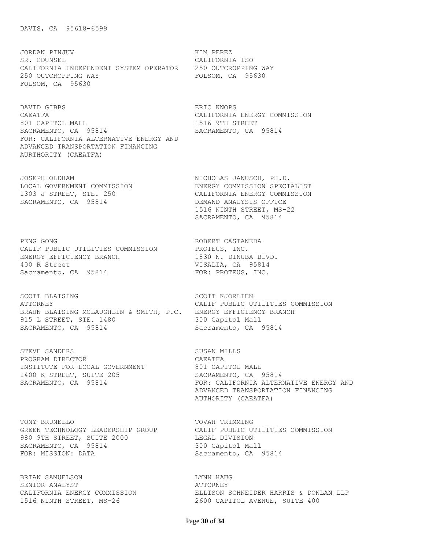JORDAN PINJUV KIM PEREZ SR. COUNSEL CALIFORNIA ISO CALIFORNIA INDEPENDENT SYSTEM OPERATOR 250 OUTCROPPING WAY 250 OUTCROPPING WAY **EXECUTE:** FOLSOM, CA 95630 FOLSOM, CA 95630

DAVID GIBBS ERIC KNOPS CAEATFA CALIFORNIA ENERGY COMMISSION 801 CAPITOL MALL 2018 1516 9TH STREET SACRAMENTO, CA 95814 SACRAMENTO, CA 95814 FOR: CALIFORNIA ALTERNATIVE ENERGY AND ADVANCED TRANSPORTATION FINANCING AURTHORITY (CAEATFA)

SACRAMENTO, CA 95814 DEMAND ANALYSIS OFFICE

PENG GONG **ROBERT CASTANEDA** CALIF PUBLIC UTILITIES COMMISSION PROTEUS, INC. ENERGY EFFICIENCY BRANCH 1830 N. DINUBA BLVD. 400 R Street VISALIA, CA 95814 Sacramento, CA 95814 FOR: PROTEUS, INC.

SCOTT BLAISING SCOTT KJORLIEN ATTORNEY CALIF PUBLIC UTILITIES COMMISSION BRAUN BLAISING MCLAUGHLIN & SMITH, P.C. ENERGY EFFICIENCY BRANCH 915 L STREET, STE. 1480 300 Capitol Mall SACRAMENTO, CA 95814 Sacramento, CA 95814

STEVE SANDERS SUSAN MILLS PROGRAM DIRECTOR CAEATFA INSTITUTE FOR LOCAL GOVERNMENT 801 CAPITOL MALL 1400 K STREET, SUITE 205 SACRAMENTO, CA 95814

TONY BRUNELLO TOVAH TRIMMING GREEN TECHNOLOGY LEADERSHIP GROUP CALIF PUBLIC UTILITIES COMMISSION 980 9TH STREET, SUITE 2000 LEGAL DIVISION SACRAMENTO, CA 95814 300 Capitol Mall FOR: MISSION: DATA Sacramento, CA 95814

BRIAN SAMUELSON LYNN HAUG SENIOR ANALYST **ATTORNEY** 

JOSEPH OLDHAM NICHOLAS JANUSCH, PH.D. LOCAL GOVERNMENT COMMISSION ENERGY COMMISSION SPECIALIST 1303 J STREET, STE. 250 CALIFORNIA ENERGY COMMISSION 1516 NINTH STREET, MS-22 SACRAMENTO, CA 95814

SACRAMENTO, CA 95814 **FOR: CALIFORNIA ALTERNATIVE ENERGY AND**  ADVANCED TRANSPORTATION FINANCING AUTHORITY (CAEATFA)

CALIFORNIA ENERGY COMMISSION ELLISON SCHNEIDER HARRIS & DONLAN LLP 1516 NINTH STREET, MS-26 2600 CAPITOL AVENUE, SUITE 400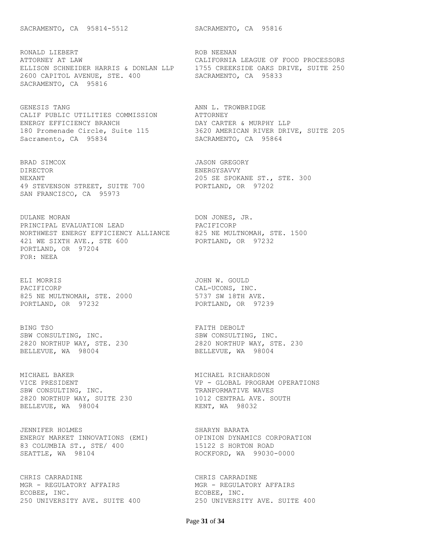RONALD LIEBERT **ROB** NEENAN ATTORNEY AT LAW CALIFORNIA LEAGUE OF FOOD PROCESSORS ELLISON SCHNEIDER HARRIS & DONLAN LLP 1755 CREEKSIDE OAKS DRIVE, SUITE 250 2600 CAPITOL AVENUE, STE. 400 SACRAMENTO, CA 95833 SACRAMENTO, CA 95816

GENESIS TANG **ANN L. TROWBRIDGE** CALIF PUBLIC UTILITIES COMMISSION ATTORNEY ENERGY EFFICIENCY BRANCH DAY CARTER & MURPHY LLP Sacramento, CA 95834 SACRAMENTO, CA 95864

BRAD SIMCOX 36 SOME SERIES ON SALES AND STREGORY DIRECTOR ENERGYSAVVY NEXANT 205 SE SPOKANE ST., STE. 300 49 STEVENSON STREET, SUITE 700 PORTLAND, OR 97202 SAN FRANCISCO, CA 95973

DULANE MORAN DON JONES, JR.<br>PRINCIPAL EVALUATION LEAD PACIFICORP PRINCIPAL EVALUATION LEAD PACIFICORP NORTHWEST ENERGY EFFICIENCY ALLIANCE 825 NE MULTNOMAH, STE. 1500 421 WE SIXTH AVE., STE 600 PORTLAND, OR 97232 PORTLAND, OR 97204 FOR: NEEA

ELI MORRIS JOHN W. GOULD PACIFICORP CAL-UCONS, INC. 825 NE MULTNOMAH, STE. 2000 5737 SW 18TH AVE. 825 NE MULTNOMAH, STE. 2000<br>
PORTLAND, OR 97232<br>
PORTLAND, OR 97232<br>
PORTLAND, OR 97239

BING TSO STATES AND THE RESOLT AND RESOLT SBW CONSULTING, INC. SBW CONSULTING, INC. BELLEVUE, WA 98004 **BELLEVUE, WA 98004** 

MICHAEL BAKER MICHAEL RICHARDSON SBW CONSULTING, INC. THE SERVICE OF TRANFORMATIVE WAVES 2820 NORTHUP WAY, SUITE 230 1012 CENTRAL AVE. SOUTH BELLEVUE, WA 98004 KENT, WA 98032

JENNIFER HOLMES SHARYN BARATA ENERGY MARKET INNOVATIONS (EMI) OPINION DYNAMICS CORPORATION 83 COLUMBIA ST., STE/ 400 15122 S HORTON ROAD SEATTLE, WA 98104 ROCKFORD, WA 99030-0000

CHRIS CARRADINE CHRIS CARRADINE MGR - REGULATORY AFFAIRS MGR - REGULATORY AFFAIRS ECOBEE, INC. THE SECOBEE, INC. ECOBEE, INC.<br>250 UNIVERSITY AVE. SUITE 400 250 UNIVERSITY AVE. SUITE 400

180 Promenade Circle, Suite 115 3620 AMERICAN RIVER DRIVE, SUITE 205

2820 NORTHUP WAY, STE. 230 2820 NORTHUP WAY, STE. 230

VICE PRESIDENT VP - GLOBAL PROGRAM OPERATIONS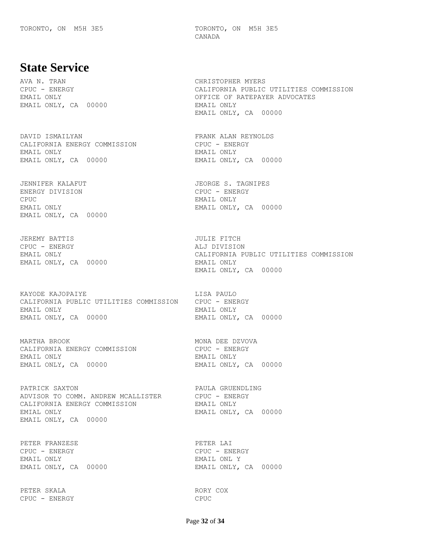TORONTO, ON M5H 3E5 TORONTO, ON M5H 3E5 CANADA

## **State Service**

EMAIL ONLY, CA 00000 EMAIL ONLY

CALIFORNIA ENERGY COMMISSION CPUC - ENERGY EMAIL ONLY EMAIL ONLY EMAIL ONLY, CA 00000 EMAIL ONLY, CA 00000

ENERGY DIVISION CPUC - ENERGY CPUC EMAIL ONLY EMAIL ONLY EMAIL ONLY, CA 00000 EMAIL ONLY, CA 00000

JEREMY BATTIS JULIE FITCH CPUC - ENERGY ALJ DIVISION EMAIL ONLY, CA 00000 EMAIL ONLY

KAYODE KAJOPAIYE LISA PAULO CALIFORNIA PUBLIC UTILITIES COMMISSION CPUC - ENERGY EMAIL ONLY EMAIL ONLY EMAIL ONLY, CA 00000 EMAIL ONLY, CA 00000

MARTHA BROOK MONA DEE DZVOVA CALIFORNIA ENERGY COMMISSION CPUC - ENERGY EMAIL ONLY EMAIL ONLY EMAIL ONLY, CA 00000 EMAIL ONLY, CA 00000

PATRICK SAXTON **PAULA GRUENDLING** ADVISOR TO COMM. ANDREW MCALLISTER CPUC - ENERGY CALIFORNIA ENERGY COMMISSION EMAIL ONLY EMIAL ONLY **EMAIL ONLY, CA** 00000 EMAIL ONLY, CA 00000

PETER FRANZESE PETER LAI CPUC - ENERGY CPUC - ENERGY EMAIL ONLY EMAIL ONL Y

PETER SKALA RORY COX CPUC - ENERGY CPUC

AVA N. TRAN CHRISTOPHER MYERS CPUC - ENERGY CALIFORNIA PUBLIC UTILITIES COMMISSION EMAIL ONLY OFFICE OF RATEPAYER ADVOCATES EMAIL ONLY, CA 00000

DAVID ISMAILYAN **FRANK ALAN REYNOLDS** 

JENNIFER KALAFUT **JEORGE S. TAGNIPES** 

EMAIL ONLY CALIFORNIA PUBLIC UTILITIES COMMISSION EMAIL ONLY, CA 00000

EMAIL ONLY, CA 00000 EMAIL ONLY, CA 00000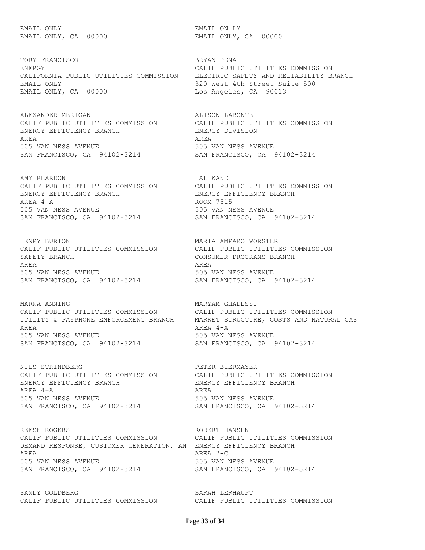EMAIL ONLY EMAIL ON LY

TORY FRANCISCO **BRYAN PENA** ENERGY CALIF PUBLIC UTILITIES COMMISSION CALIFORNIA PUBLIC UTILITIES COMMISSION ELECTRIC SAFETY AND RELIABILITY BRANCH EMAIL ONLY 320 West 4th Street Suite 500 EMAIL ONLY, CA 00000 Los Angeles, CA 90013

ALEXANDER MERIGAN ALISON LABONTE CALIF PUBLIC UTILITIES COMMISSION CALIF PUBLIC UTILITIES COMMISSION ENERGY EFFICIENCY BRANCH ENERGY DIVISION AREA AREA 505 VAN NESS AVENUE 505 VAN NESS AVENUE SAN FRANCISCO, CA 94102-3214 SAN FRANCISCO, CA 94102-3214

AMY REARDON **HAL KANE** ENERGY EFFICIENCY BRANCH ENERGY EFFICIENCY BRANCH AREA 4-A ROOM 7515 505 VAN NESS AVENUE 505 VAN NESS AVENUE SAN FRANCISCO, CA 94102-3214 SAN FRANCISCO, CA 94102-3214

HENRY BURTON MARIA AMPARO WORSTER CALIF PUBLIC UTILITIES COMMISSION CALIF PUBLIC UTILITIES COMMISSION SAFETY BRANCH **CONSUMER PROGRAMS BRANCH** AREA AREA 505 VAN NESS AVENUE 505 VAN NESS AVENUE SAN FRANCISCO, CA 94102-3214 SAN FRANCISCO, CA 94102-3214

MARNA ANNING **MARYAM GHADESSI** CALIF PUBLIC UTILITIES COMMISSION CALIF PUBLIC UTILITIES COMMISSION AREA AREA 4-A 505 VAN NESS AVENUE<br>
SAN FRANCISCO, CA 94102-3214<br>
SAN FRANCISCO, CA 94102-3214 SAN FRANCISCO, CA 94102-3214 SAN FRANCISCO, CA 94102-3214

NILS STRINDBERG PETER BIERMAYER ENERGY EFFICIENCY BRANCH ENERGY EFFICIENCY BRANCH AREA 4-A AREA 505 VAN NESS AVENUE 505 VAN NESS AVENUE SAN FRANCISCO, CA 94102-3214 SAN FRANCISCO, CA 94102-3214

REESE ROGERS **ROBERT HANSEN** CALIF PUBLIC UTILITIES COMMISSION CALIF PUBLIC UTILITIES COMMISSION DEMAND RESPONSE, CUSTOMER GENERATION, AN ENERGY EFFICIENCY BRANCH AREA AREA 2-C 505 VAN NESS AVENUE 505 VAN NESS AVENUE SAN FRANCISCO, CA 94102-3214 SAN FRANCISCO, CA 94102-3214

SANDY GOLDBERG SARAH LERHAUPT CALIF PUBLIC UTILITIES COMMISSION CALIF PUBLIC UTILITIES COMMISSION

EMAIL ONLY, CA 00000 EMAIL ONLY, CA 00000

CALIF PUBLIC UTILITIES COMMISSION CALIF PUBLIC UTILITIES COMMISSION

UTILITY & PAYPHONE ENFORCEMENT BRANCH MARKET STRUCTURE, COSTS AND NATURAL GAS

CALIF PUBLIC UTILITIES COMMISSION CALIF PUBLIC UTILITIES COMMISSION